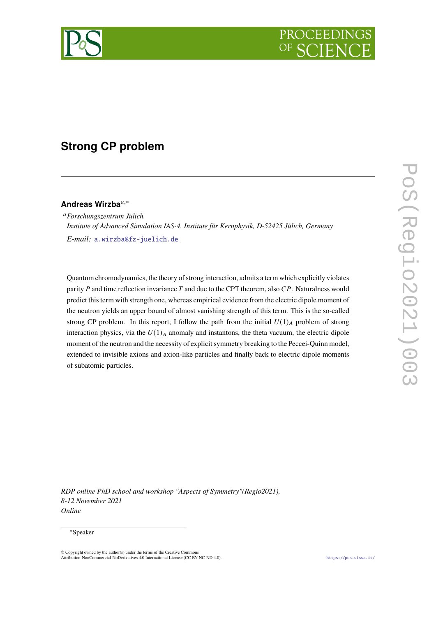

# **Strong CP problem**

# **Andreas Wirzba**,<sup>∗</sup>

*Forschungszentrum Jülich, Institute of Advanced Simulation IAS-4, Institute für Kernphysik, D-52425 Jülich, Germany E-mail:* [a.wirzba@fz-juelich.de](mailto:a.wirzba@fz-juelich.de)

Quantum chromodynamics, the theory of strong interaction, admits a term which explicitly violates parity  $P$  and time reflection invariance  $T$  and due to the CPT theorem, also  $CP$ . Naturalness would predict this term with strength one, whereas empirical evidence from the electric dipole moment of the neutron yields an upper bound of almost vanishing strength of this term. This is the so-called strong CP problem. In this report, I follow the path from the initial  $U(1)_A$  problem of strong interaction physics, via the  $U(1)_A$  anomaly and instantons, the theta vacuum, the electric dipole moment of the neutron and the necessity of explicit symmetry breaking to the Peccei-Quinn model, extended to invisible axions and axion-like particles and finally back to electric dipole moments of subatomic particles.

*RDP online PhD school and workshop "Aspects of Symmetry"(Regio2021), 8-12 November 2021 Online*

#### ∗Speaker

<sup>©</sup> Copyright owned by the author(s) under the terms of the Creative Commons Attribution-NonCommercial-NoDerivatives 4.0 International License (CC BY-NC-ND 4.0). <https://pos.sissa.it/>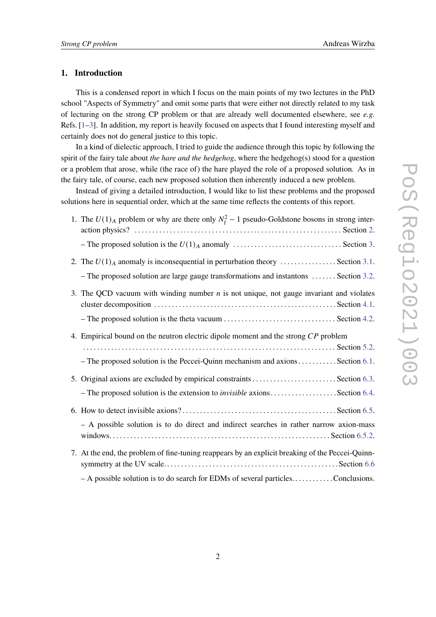# **1. Introduction**

This is a condensed report in which I focus on the main points of my two lectures in the PhD school "Aspects of Symmetry" and omit some parts that were either not directly related to my task of lecturing on the strong CP problem or that are already well documented elsewhere, see *e.g.* Refs. [\[1](#page-20-0)[–3\]](#page-20-1). In addition, my report is heavily focused on aspects that I found interesting myself and certainly does not do general justice to this topic.

In a kind of dielectic approach, I tried to guide the audience through this topic by following the spirit of the fairy tale about *the hare and the hedgehog*, where the hedgehog(s) stood for a question or a problem that arose, while (the race of) the hare played the role of a proposed solution. As in the fairy tale, of course, each new proposed solution then inherently induced a new problem.

Instead of giving a detailed introduction, I would like to list these problems and the proposed solutions here in sequential order, which at the same time reflects the contents of this report.

| 1. The $U(1)_A$ problem or why are there only $N_f^2 - 1$ pseudo-Goldstone bosons in strong inter-                                                                                   |
|--------------------------------------------------------------------------------------------------------------------------------------------------------------------------------------|
|                                                                                                                                                                                      |
| 2. The $U(1)_A$ anomaly is inconsequential in perturbation theory  Section 3.1.<br>- The proposed solution are large gauge transformations and instantons  Section 3.2.              |
| 3. The QCD vacuum with winding number $n$ is not unique, not gauge invariant and violates                                                                                            |
| 4. Empirical bound on the neutron electric dipole moment and the strong CP problem                                                                                                   |
| - The proposed solution is the Peccei-Quinn mechanism and axions Section 6.1.                                                                                                        |
| - The proposed solution is the extension to <i>invisible</i> axionsSection 6.4.                                                                                                      |
| - A possible solution is to do direct and indirect searches in rather narrow axion-mass                                                                                              |
| 7. At the end, the problem of fine-tuning reappears by an explicit breaking of the Peccei-Quinn-<br>$-A$ possible solution is to do search for EDMs of several particlesConclusions. |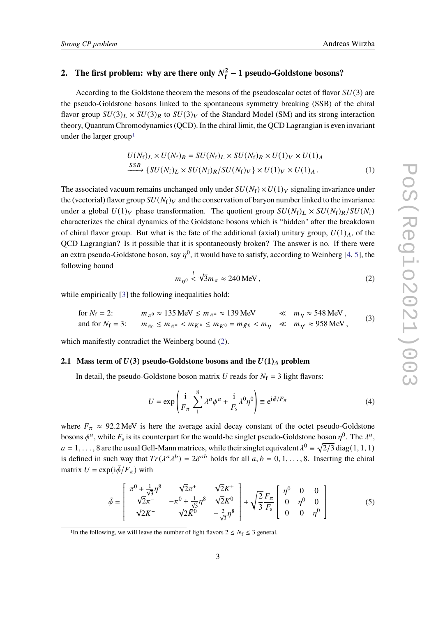#### <span id="page-2-0"></span>**2.** The first problem: why are there only  $N_f^2$ **f** − **1 pseudo-Goldstone bosons?**

According to the Goldstone theorem the mesons of the pseudoscalar octet of flavor  $SU(3)$  are the pseudo-Goldstone bosons linked to the spontaneous symmetry breaking (SSB) of the chiral flavor group  $SU(3)_L \times SU(3)_R$  to  $SU(3)_V$  of the Standard Model (SM) and its strong interaction theory, Quantum Chromodynamics (QCD). In the chiral limit, the QCD Lagrangian is even invariant under the larger group<sup>[1](#page-2-1)</sup>

$$
U(N_f)_L \times U(N_f)_R = SU(N_f)_L \times SU(N_f)_R \times U(1)_V \times U(1)_A
$$
  
\n
$$
\xrightarrow{SSB} \{SU(N_f)_L \times SU(N_f)_R/SU(N_f)_V\} \times U(1)_V \times U(1)_A.
$$
 (1)

The associated vacuum remains unchanged only under  $SU(N_f) \times U(1)_V$  signaling invariance under the (vectorial) flavor group  $SU(N_f)_V$  and the conservation of baryon number linked to the invariance under a global  $U(1)_V$  phase transformation. The quotient group  $SU(N_f)_L \times SU(N_f)_R/SU(N_f)$ characterizes the chiral dynamics of the Goldstone bosons which is "hidden" after the breakdown of chiral flavor group. But what is the fate of the additional (axial) unitary group,  $U(1)<sub>A</sub>$ , of the QCD Lagrangian? Is it possible that it is spontaneously broken? The answer is no. If there were an extra pseudo-Goldstone boson, say  $n^0$ , it would have to satisfy, according to Weinberg [\[4,](#page-20-2) [5\]](#page-20-3), the following bound

<span id="page-2-2"></span>
$$
m_{\eta^0} \stackrel{!}{\leq} \sqrt{3}m_{\pi} \approx 240 \,\text{MeV},\tag{2}
$$

while empirically [\[3\]](#page-20-1) the following inequalities hold:

for 
$$
N_f = 2
$$
:  $m_{\pi^0} \approx 135 \text{ MeV} \le m_{\pi^{\pm}} \approx 139 \text{ MeV} \le m_{\eta} \approx 548 \text{ MeV}$ ,  
and for  $N_f = 3$ :  $m_{\pi_0} \le m_{\pi^{\pm}} < m_{K^{\pm}} \le m_{K^0} = m_{\bar{K}^0} < m_{\eta} \ll m_{\eta'} \approx 958 \text{ MeV}$ , (3)

which manifestly contradict the Weinberg bound [\(2\)](#page-2-2).

#### **2.1** Mass term of  $U(3)$  pseudo-Goldstone bosons and the  $U(1)<sub>A</sub>$  problem

In detail, the pseudo-Goldstone boson matrix U reads for  $N_f = 3$  light flavors:

$$
U = \exp\left(\frac{\mathrm{i}}{F_{\pi}} \sum_{1}^{8} \lambda^{a} \phi^{a} + \frac{\mathrm{i}}{F_{\mathrm{s}}} \lambda^{0} \eta^{0}\right) \equiv e^{\mathrm{i} \vec{\phi}/F_{\pi}}
$$
(4)

where  $F_{\pi} \approx 92.2 \text{ MeV}$  is here the average axial decay constant of the octet pseudo-Goldstone bosons  $\phi^a$ , while  $F_s$  is its counterpart for the would-be singlet pseudo-Goldstone boson  $\eta^0$ . The  $\lambda^a$ ,  $a = 1, \ldots, 8$  are the usual Gell-Mann matrices, while their singlet equivalent  $\lambda^0 \equiv \sqrt{2/3}$  diag(1, 1, 1) is defined in such way that  $Tr(\lambda^a \lambda^b) = 2\delta^{ab}$  holds for all  $a, b = 0, 1, ..., 8$ . Inserting the chiral matrix  $U = \exp(i\tilde{\phi}/F_\pi)$  with

$$
\tilde{\phi} = \begin{bmatrix} \pi^0 + \frac{1}{\sqrt{3}} \eta^8 & \sqrt{2} \pi^+ & \sqrt{2} K^+ \\ \sqrt{2} \pi^- & -\pi^0 + \frac{1}{\sqrt{3}} \eta^8 & \sqrt{2} K^0 \\ \sqrt{2} K^- & \sqrt{2} K^0 & -\frac{2}{\sqrt{3}} \eta^8 \end{bmatrix} + \sqrt{\frac{2}{3}} \frac{F_{\pi}}{F_s} \begin{bmatrix} \eta^0 & 0 & 0 \\ 0 & \eta^0 & 0 \\ 0 & 0 & \eta^0 \end{bmatrix}
$$
(5)

<span id="page-2-1"></span><sup>&</sup>lt;sup>1</sup>In the following, we will leave the number of light flavors  $2 \le N_f \le 3$  general.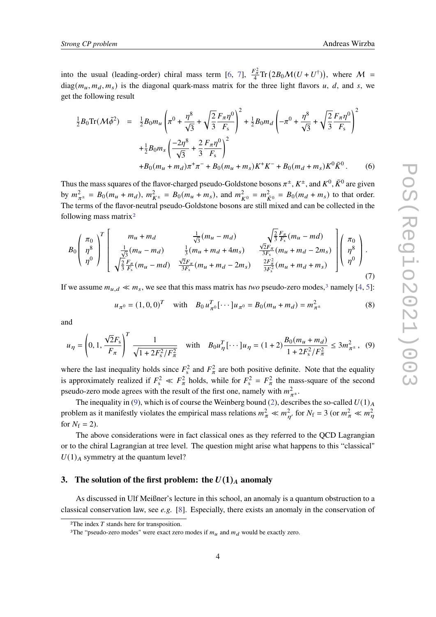into the usual (leading-order) chiral mass term [\[6,](#page-20-4) [7\]](#page-20-5),  $\frac{F_{\pi}^2}{4} \text{Tr} (2B_0 \mathcal{M}(U + U^{\dagger}))$ , where  $\mathcal{M} =$  $diag(m_u, m_d, m_s)$  is the diagonal quark-mass matrix for the three light flavors u, d, and s, we get the following result

$$
\frac{1}{2}B_0 \text{Tr}(\mathcal{M}\tilde{\phi}^2) = \frac{1}{2}B_0 m_u \left(\pi^0 + \frac{\eta^8}{\sqrt{3}} + \sqrt{\frac{2}{3}} \frac{F_\pi \eta^0}{F_s}\right)^2 + \frac{1}{2}B_0 m_d \left(-\pi^0 + \frac{\eta^8}{\sqrt{3}} + \sqrt{\frac{2}{3}} \frac{F_\pi \eta^0}{F_s}\right)^2
$$

$$
+ \frac{1}{2}B_0 m_s \left(\frac{-2\eta^8}{\sqrt{3}} + \frac{2}{3} \frac{F_\pi \eta^0}{F_s}\right)^2
$$

$$
+ B_0 (m_u + m_d)\pi^+ \pi^- + B_0 (m_u + m_s)K^+ K^- + B_0 (m_d + m_s)K^0 \bar{K}^0. \tag{6}
$$

Thus the mass squares of the flavor-charged pseudo-Goldstone bosons  $\pi^{\pm}$ ,  $K^{\pm}$ , and  $K^0$ ,  $\bar{K}^0$  are given by  $m_{\pi^{\pm}}^2 = B_0(m_u + m_d)$ ,  $m_{K^{\pm}}^2 = B_0(m_u + m_s)$ , and  $m_{K^0}^2 = m_{\bar{K}^0}^2 = B_0(m_d + m_s)$  to that order. The terms of the flavor-neutral pseudo-Goldstone bosons are still mixed and can be collected in the following mass matrix[2](#page-3-1)

$$
B_{0}\left(\begin{array}{c} \pi_{0} \\ \eta^{8} \\ \eta^{0} \end{array}\right)^{T} \left[\begin{array}{c} m_{u} + m_{d} \\ \frac{1}{\sqrt{3}}(m_{u} - m_{d}) \\ \frac{1}{\sqrt{3}}(m_{u} - m_{d}) \\ \sqrt{\frac{2}{3}}\frac{F_{\pi}}{F_{s}}(m_{u} + m_{d} + 4m_{s}) \\ \sqrt{\frac{2}{3}}\frac{F_{\pi}}{F_{s}}(m_{u} + m_{d} - 2m_{s}) \\ \sqrt{\frac{2}{3}}\frac{F_{\pi}}{F_{s}}(m_{u} - m_{d}) \end{array}\begin{array}{c} \sqrt{\frac{2}{3}}\frac{F_{\pi}}{F_{s}}(m_{u} - m_{d}) \\ \frac{\sqrt{2}F_{\pi}}{3F_{s}}(m_{u} + m_{d} - 2m_{s}) \\ \frac{2F_{\pi}^{2}}{3F_{s}}(m_{u} + m_{d} + m_{s}) \end{array}\right)\left(\begin{array}{c} \pi_{0} \\ \eta^{8} \\ \eta^{0} \end{array}\right). \tag{7}
$$

If we assume  $m_{u,d} \ll m_s$ , we see that this mass matrix has *two* pseudo-zero modes,<sup>[3](#page-3-2)</sup> namely [\[4,](#page-20-2) [5\]](#page-20-3):

$$
u_{\pi^0} = (1, 0, 0)^T \quad \text{with} \quad B_0 u_{\pi^0}^T [\cdots] u_{\pi^0} = B_0 (m_u + m_d) = m_{\pi^{\pm}}^2 \tag{8}
$$

and

<span id="page-3-3"></span>
$$
u_{\eta} = \left(0, 1, \frac{\sqrt{2}F_s}{F_{\pi}}\right)^T \frac{1}{\sqrt{1 + 2F_s^2/F_{\pi}^2}} \quad \text{with} \quad B_0 u_{\eta}^T [\cdots] u_{\eta} = (1+2) \frac{B_0 (m_u + m_d)}{1 + 2F_s^2/F_{\pi}^2} \le 3m_{\pi^{\pm}}^2, \tag{9}
$$

where the last inequality holds since  $F_s^2$  and  $F_\pi^2$  are both positive definite. Note that the equality is approximately realized if  $F_s^2 \ll F_\pi^2$  holds, while for  $F_s^2 = F_\pi^2$  the mass-square of the second pseudo-zero mode agrees with the result of the first one, namely with  $m_{\pi^{\pm}}^2$ .

The inequality in [\(9\)](#page-3-3), which is of course the Weinberg bound [\(2\)](#page-2-2), describes the so-called  $U(1)_A$ problem as it manifestly violates the empirical mass relations  $m_{\pi}^2 \ll m_{p'}^2$  for  $N_f = 3$  (or  $m_{\pi}^2 \ll m_{p'}^2$ for  $N_f = 2$ ).

The above considerations were in fact classical ones as they referred to the QCD Lagrangian or to the chiral Lagrangian at tree level. The question might arise what happens to this "classical"  $U(1)$ <sub>A</sub> symmetry at the quantum level?

# <span id="page-3-0"></span>**3.** The solution of the first problem: the  $U(1)<sub>A</sub>$  anomaly

As discussed in Ulf Meißner's lecture in this school, an anomaly is a quantum obstruction to a classical conservation law, see *e.g.* [\[8\]](#page-21-0). Especially, there exists an anomaly in the conservation of

<span id="page-3-1"></span> $2$ The index  $T$  stands here for transposition.

<span id="page-3-2"></span><sup>&</sup>lt;sup>3</sup>The "pseudo-zero modes" were exact zero modes if  $m<sub>u</sub>$  and  $m<sub>d</sub>$  would be exactly zero.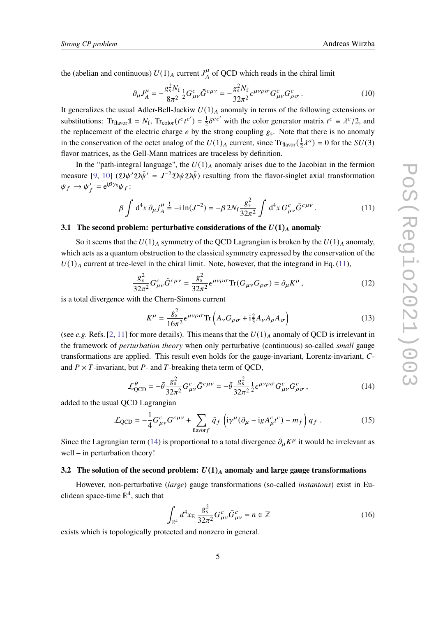the (abelian and continuous)  $U(1)_A$  current  $J_A^{\mu}$  $\frac{\mu}{A}$  of QCD which reads in the chiral limit

$$
\partial_{\mu}J_{A}^{\mu} = -\frac{g_{s}^{2}N_{f}}{8\pi^{2}} \frac{1}{2} G_{\mu\nu}^{c} \tilde{G}^{c\mu\nu} = -\frac{g_{s}^{2}N_{f}}{32\pi^{2}} \epsilon^{\mu\nu\rho\sigma} G_{\mu\nu}^{c} G_{\rho\sigma}^{c}.
$$
 (10)

It generalizes the usual Adler-Bell-Jackiw  $U(1)_A$  anomaly in terms of the following extensions or substitutions:  $\text{Tr}_{\text{flavor}} \mathbb{1} = N_f, \text{Tr}_{\text{color}}(t^c t^{c'}) = \frac{1}{2}$  $\frac{1}{2} \delta^{cc'}$  with the color generator matrix  $t^c \equiv \lambda^c/2$ , and the replacement of the electric charge  $e$  by the strong coupling  $g_s$ . Note that there is no anomaly in the conservation of the octet analog of the  $U(1)_A$  current, since Tr<sub>flavor</sub>( $\frac{1}{2}$ )  $\frac{1}{2}\lambda^{a}$ ) = 0 for the  $SU(3)$ flavor matrices, as the Gell-Mann matrices are traceless by definition.

In the "path-integral language", the  $U(1)_A$  anomaly arises due to the Jacobian in the fermion measure [\[9,](#page-21-1) [10\]](#page-21-2)  $(\mathcal{D}\psi' \mathcal{D}\bar{\psi}' = J^{-2} \mathcal{D}\psi \mathcal{D}\bar{\psi})$  resulting from the flavor-singlet axial transformation  $\psi_f \rightarrow \psi'_f = e^{i\beta \gamma_5} \psi_f$ :

<span id="page-4-2"></span>
$$
\beta \int d^4 x \, \partial_{\mu} j_A^{\mu} \stackrel{!}{=} -i \ln(J^{-2}) = -\beta \, 2N_{\rm f} \frac{g_{\rm s}^2}{32\pi^2} \int d^4 x \, G_{\mu\nu}^c \tilde{G}^{c\mu\nu} \,. \tag{11}
$$

#### <span id="page-4-0"></span>**3.1 The second problem: perturbative considerations of the**  $U(1)<sub>A</sub>$  **anomaly**

So it seems that the  $U(1)_A$  symmetry of the QCD Lagrangian is broken by the  $U(1)_A$  anomaly, which acts as a quantum obstruction to the classical symmetry expressed by the conservation of the  $U(1)$ <sub>A</sub> current at tree-level in the chiral limit. Note, however, that the integrand in Eq. [\(11\)](#page-4-2),

$$
\frac{g_s^2}{32\pi^2} G_{\mu\nu}^c \tilde{G}^{c\mu\nu} = \frac{g_s^2}{32\pi^2} \epsilon^{\mu\nu\rho\sigma} \text{Tr}(G_{\mu\nu} G_{\rho\sigma}) = \partial_\mu K^\mu \,, \tag{12}
$$

is a total divergence with the Chern-Simons current

$$
K^{\mu} = \frac{g_s^2}{16\pi^2} \epsilon^{\mu\nu\rho\sigma} \text{Tr}\left(A_{\nu}G_{\rho\sigma} + \mathbf{i}\frac{2}{3}A_{\nu}A_{\rho}A_{\sigma}\right)
$$
(13)

(see *e.g.* Refs. [\[2,](#page-20-6) [11\]](#page-21-3) for more details). This means that the  $U(1)_A$  anomaly of QCD is irrelevant in the framework of *perturbation theory* when only perturbative (continuous) so-called *small* gauge transformations are applied. This result even holds for the gauge-invariant, Lorentz-invariant,  $C$ and  $P \times T$ -invariant, but  $P$ - and  $T$ -breaking theta term of QCD,

<span id="page-4-3"></span>
$$
\mathcal{L}^{\theta}_{\text{QCD}} = -\bar{\theta} \frac{g_s^2}{32\pi^2} G^c_{\mu\nu} \tilde{G}^{c\mu\nu} = -\bar{\theta} \frac{g_s^2}{32\pi^2} \frac{1}{2} \epsilon^{\mu\nu\rho\sigma} G^c_{\mu\nu} G^c_{\rho\sigma} , \qquad (14)
$$

added to the usual QCD Lagrangian

$$
\mathcal{L}_{QCD} = -\frac{1}{4} G_{\mu\nu}^c G^{c\mu\nu} + \sum_{\text{flavor}f} \bar{q}_f \left( i\gamma^\mu (\partial_\mu - i g A_\mu^c t^c) - m_f \right) q_f \,. \tag{15}
$$

Since the Lagrangian term [\(14\)](#page-4-3) is proportional to a total divergence  $\partial_{\mu}K^{\mu}$  it would be irrelevant as well – in perturbation theory!

#### <span id="page-4-1"></span>**3.2** The solution of the second problem:  $U(1)_A$  anomaly and large gauge transformations

However, non-perturbative (*large*) gauge transformations (so-called *instantons*) exist in Euclidean space-time  $\mathbb{R}^4$ , such that

<span id="page-4-4"></span>
$$
\int_{\mathbb{R}^4} d^4 x_E \frac{g_s^2}{32\pi^2} G^c_{\mu\nu} \tilde{G}^c_{\mu\nu} = n \in \mathbb{Z}
$$
 (16)

exists which is topologically protected and nonzero in general.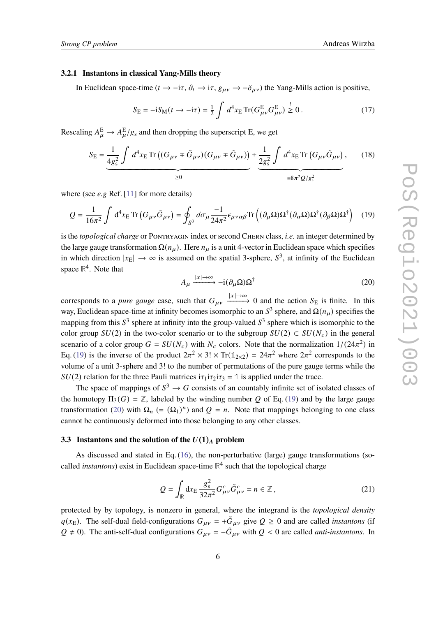#### **3.2.1 Instantons in classical Yang-Mills theory**

In Euclidean space-time ( $t \to -i\tau$ ,  $\partial_t \to i\tau$ ,  $g_{\mu\nu} \to -\delta_{\mu\nu}$ ) the Yang-Mills action is positive,

$$
S_{\rm E} = -iS_{\rm M}(t \to -i\tau) = \frac{1}{2} \int d^4x_{\rm E} \operatorname{Tr}(G_{\mu\nu}^{\rm E} G_{\mu\nu}^{\rm E}) \stackrel{!}{\geq} 0. \tag{17}
$$

Rescaling  $A_{\mu}^{\rm E} \rightarrow A_{\mu}^{\rm E}/g_s$  and then dropping the superscript E, we get

<span id="page-5-2"></span>
$$
S_{\rm E} = \underbrace{\frac{1}{4g_{\rm s}^2} \int d^4x_{\rm E} \operatorname{Tr} \left( (G_{\mu\nu} \mp \tilde{G}_{\mu\nu}) (G_{\mu\nu} \mp \tilde{G}_{\mu\nu}) \right)}_{\geq 0} \pm \underbrace{\frac{1}{2g_{\rm s}^2} \int d^4x_{\rm E} \operatorname{Tr} \left( G_{\mu\nu} \tilde{G}_{\mu\nu} \right)}_{\equiv 8\pi^2 Q/g_{\rm s}^2}, \quad (18)
$$

where (see *e.g* Ref. [\[11\]](#page-21-3) for more details)

<span id="page-5-0"></span>
$$
Q = \frac{1}{16\pi^2} \int d^4x_E \operatorname{Tr} \left( G_{\mu\nu} \tilde{G}_{\mu\nu} \right) = \oint_{S^3} d\sigma_\mu \frac{-1}{24\pi^2} \epsilon_{\mu\nu\alpha\beta} \operatorname{Tr} \left( (\partial_\mu \Omega) \Omega^\dagger (\partial_\alpha \Omega) \Omega^\dagger (\partial_\beta \Omega) \Omega^\dagger \right) \tag{19}
$$

is the *topological charge* or Pontryagin index or second Chern class, *i.e.* an integer determined by the large gauge transformation  $\Omega(n_\mu)$ . Here  $n_\mu$  is a unit 4-vector in Euclidean space which specifies in which direction  $|x_E| \to \infty$  is assumed on the spatial 3-sphere,  $S^3$ , at infinity of the Euclidean space **R** 4 . Note that

<span id="page-5-1"></span>
$$
A_{\mu} \xrightarrow{|x| \to \infty} -i(\partial_{\mu}\Omega)\Omega^{\dagger} \tag{20}
$$

corresponds to a *pure gauge* case, such that  $G_{\mu\nu} \xrightarrow{|x| \to \infty} 0$  and the action  $S_E$  is finite. In this way, Euclidean space-time at infinity becomes isomorphic to an  $S^3$  sphere, and  $\Omega(n_\mu)$  specifies the mapping from this  $S^3$  sphere at infinity into the group-valued  $S^3$  sphere which is isomorphic to the color group  $SU(2)$  in the two-color scenario or to the subgroup  $SU(2) \subset SU(N_c)$  in the general scenario of a color group  $G = SU(N_c)$  with  $N_c$  colors. Note that the normalization  $1/(24\pi^2)$  in Eq. [\(19\)](#page-5-0) is the inverse of the product  $2\pi^2 \times 3! \times Tr(\mathbb{1}_{2\times2}) = 24\pi^2$  where  $2\pi^2$  corresponds to the volume of a unit 3-sphere and 3! to the number of permutations of the pure gauge terms while the  $SU(2)$  relation for the three Pauli matrices  $i\tau_1 i\tau_2 i\tau_3 = 1$  is applied under the trace.

The space of mappings of  $S^3 \to G$  consists of an countably infinite set of isolated classes of the homotopy  $\Pi_3(G) = \mathbb{Z}$ , labeled by the winding number Q of Eq. [\(19\)](#page-5-0) and by the large gauge transformation [\(20\)](#page-5-1) with  $\Omega_n$  (=  $(\Omega_1)^n$ ) and  $Q = n$ . Note that mappings belonging to one class cannot be continuously deformed into those belonging to any other classes.

#### **3.3** Instantons and the solution of the  $U(1)<sub>A</sub>$  problem

As discussed and stated in Eq. [\(16\)](#page-4-4), the non-perturbative (large) gauge transformations (socalled *instantons*) exist in Euclidean space-time **R** 4 such that the topological charge

<span id="page-5-3"></span>
$$
Q = \int_{\mathbb{R}} dx_{\rm E} \frac{g_{\rm s}^2}{32\pi^2} G_{\mu\nu}^c \tilde{G}_{\mu\nu}^c = n \in \mathbb{Z}, \qquad (21)
$$

protected by by topology, is nonzero in general, where the integrand is the *topological density*  $q(x_E)$ . The self-dual field-configurations  $G_{\mu\nu} = +\tilde{G}_{\mu\nu}$  give  $Q \ge 0$  and are called *instantons* (if  $Q \neq 0$ ). The anti-self-dual configurations  $G_{\mu\nu} = -\tilde{G}_{\mu\nu}$  with  $\tilde{Q} < 0$  are called *anti-instantons*. In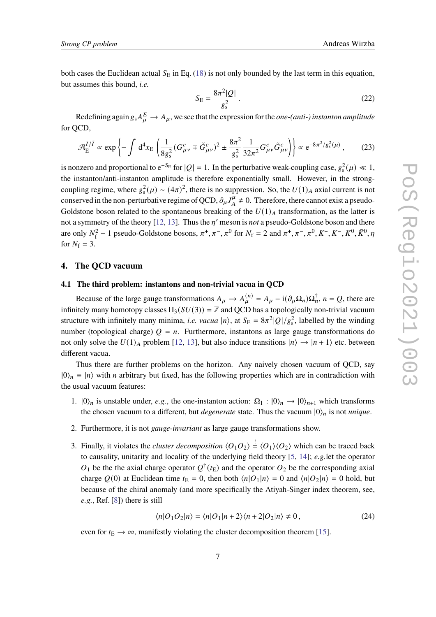both cases the Euclidean actual  $S_E$  in Eq. [\(18\)](#page-5-2) is not only bounded by the last term in this equation, but assumes this bound, *i.e.*

$$
S_{\rm E} = \frac{8\pi^2|Q|}{g_s^2} \,. \tag{22}
$$

Redefining again  $g_s A_\mu^E \to A_\mu$ , we see that the expression for the *one-(anti-) instanton amplitude* for QCD,

$$
\mathcal{A}_{\rm E}^{I/\bar{I}} \propto \exp\left\{-\int d^4x_{\rm E}\left(\frac{1}{8g_s^2}(G_{\mu\nu}^c \mp \tilde{G}_{\mu\nu}^c)^2 \pm \frac{8\pi^2}{g_s^2}\frac{1}{32\pi^2}G_{\mu\nu}^c\tilde{G}_{\mu\nu}^c\right)\right\} \propto e^{-8\pi^2/g_s^2(\mu)},\tag{23}
$$

is nonzero and proportional to  $e^{-S_E}$  for  $|Q| = 1$ . In the perturbative weak-coupling case,  $g_s^2(\mu) \ll 1$ , the instanton/anti-instanton amplitude is therefore exponentially small. However, in the strongcoupling regime, where  $g_s^2(\mu) \sim (4\pi)^2$ , there is no suppression. So, the  $U(1)_A$  axial current is not conserved in the non-perturbative regime of QCD,  $\partial_{\mu}J_{A}^{\mu}$  $\frac{\mu}{A} \neq 0$ . Therefore, there cannot exist a pseudo-Goldstone boson related to the spontaneous breaking of the  $U(1)_A$  transformation, as the latter is not a symmetry of the theory [\[12,](#page-21-4) [13\]](#page-21-5). Thus the  $\eta'$  meson is *not* a pseudo-Goldstone boson and there are only  $N_f^2 - 1$  pseudo-Goldstone bosons,  $\pi^+, \pi^-, \pi^0$  for  $N_f = 2$  and  $\pi^+, \pi^-, \pi^0, K^+, K^-, K^0, \bar{K}^0, \eta$ for  $N_f = 3$ .

# **4. The QCD vacuum**

# <span id="page-6-0"></span>**4.1 The third problem: instantons and non-trivial vacua in QCD**

Because of the large gauge transformations  $A_{\mu} \to A_{\mu}^{(n)} = A_{\mu} - i(\partial_{\mu} \Omega_n) \Omega_n^{\dagger}$ ,  $n = Q$ , there are infinitely many homotopy classes  $\Pi_3(SU(3)) = \mathbb{Z}$  and QCD has a topologically non-trivial vacuum structure with infinitely many minima, *i.e. vacua*  $|n\rangle$ , at  $S_E = 8\pi^2 |Q|/g_s^2$ , labelled by the winding number (topological charge)  $Q = n$ . Furthermore, instantons as large gauge transformations do not only solve the  $U(1)_A$  problem [\[12,](#page-21-4) [13\]](#page-21-5), but also induce transitions  $|n\rangle \rightarrow |n+1\rangle$  etc. between different vacua.

Thus there are further problems on the horizon. Any naively chosen vacuum of QCD, say  $|0\rangle_n \equiv |n\rangle$  with *n* arbitrary but fixed, has the following properties which are in contradiction with the usual vacuum features:

- 1.  $|0\rangle_n$  is unstable under, *e.g.*, the one-instanton action:  $\Omega_1 : |0\rangle_n \to |0\rangle_{n+1}$  which transforms the chosen vacuum to a different, but *degenerate* state. Thus the vacuum  $|0\rangle_n$  is not *unique*.
- 2. Furthermore, it is not *gauge-invariant* as large gauge transformations show.
- 3. Finally, it violates the *cluster decomposition*  $\langle O_1 O_2 \rangle \stackrel{!}{=} \langle O_1 \rangle \langle O_2 \rangle$  which can be traced back to causality, unitarity and locality of the underlying field theory [\[5,](#page-20-3) [14\]](#page-21-6); *e.g.*let the operator  $O_1$  be the the axial charge operator  $Q^{\dagger}(t)$  and the operator  $O_2$  be the corresponding axial charge  $Q(0)$  at Euclidean time  $t_E = 0$ , then both  $\langle n|O_1|n \rangle = 0$  and  $\langle n|O_2|n \rangle = 0$  hold, but because of the chiral anomaly (and more specifically the Atiyah-Singer index theorem, see, *e.g.*, Ref. [\[8\]](#page-21-0)) there is still

$$
\langle n|O_1O_2|n\rangle = \langle n|O_1|n+2\rangle\langle n+2|O_2|n\rangle \neq 0, \qquad (24)
$$

even for  $t_{\rm E} \rightarrow \infty$ , manifestly violating the cluster decomposition theorem [\[15\]](#page-21-7).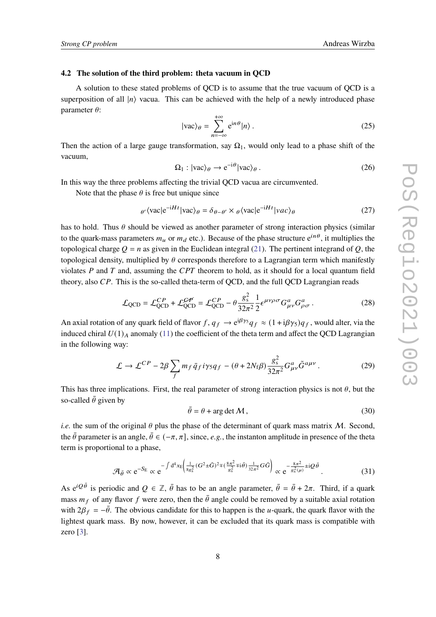#### <span id="page-7-0"></span>**4.2 The solution of the third problem: theta vacuum in QCD**

A solution to these stated problems of QCD is to assume that the true vacuum of QCD is a superposition of all  $\ket{n}$  vacua. This can be achieved with the help of a newly introduced phase parameter  $\theta$ :

$$
|vac\rangle_{\theta} = \sum_{n=-\infty}^{+\infty} e^{in\theta} |n\rangle.
$$
 (25)

Then the action of a large gauge transformation, say  $\Omega_1$ , would only lead to a phase shift of the vacuum,

$$
\Omega_1 : |vac\rangle_{\theta} \to e^{-i\theta} |vac\rangle_{\theta} . \tag{26}
$$

In this way the three problems affecting the trivial QCD vacua are circumvented.

Note that the phase  $\theta$  is free but unique since

$$
\theta' \langle \text{vac}|e^{-iHt}|\text{vac}\rangle_{\theta} = \delta_{\theta-\theta'} \times \theta \langle \text{vac}|e^{-iHt}|\text{vac}\rangle_{\theta}
$$
 (27)

has to hold. Thus  $\theta$  should be viewed as another parameter of strong interaction physics (similar to the quark-mass parameters  $m_u$  or  $m_d$  etc.). Because of the phase structure  $e^{in\theta}$ , it multiplies the topological charge  $Q = n$  as given in the Euclidean integral [\(21\)](#page-5-3). The pertinent integrand of Q, the topological density, multiplied by  $\theta$  corresponds therefore to a Lagrangian term which manifestly violates  $P$  and  $T$  and, assuming the  $CPT$  theorem to hold, as it should for a local quantum field theory, also  $CP$ . This is the so-called theta-term of QCD, and the full QCD Lagrangian reads

$$
\mathcal{L}_{\text{QCD}} = \mathcal{L}_{\text{QCD}}^{CP} + \mathcal{L}_{\text{QCD}}^{CP} = \mathcal{L}_{\text{QCD}}^{CP} - \theta \frac{g_s^2}{32\pi^2} \frac{1}{2} \epsilon^{\mu\nu\rho\sigma} G_{\mu\nu}^a G_{\rho\sigma}^a \,. \tag{28}
$$

An axial rotation of any quark field of flavor  $f, q_f \to e^{i\beta y_5} q_f \approx (1 + i\beta y_5) q_f$ , would alter, via the induced chiral  $U(1)$  anomaly [\(11\)](#page-4-2) the coefficient of the theta term and affect the QCD Lagrangian in the following way:

<span id="page-7-1"></span>
$$
\mathcal{L} \to \mathcal{L}^{CP} - 2\beta \sum_{f} m_f \bar{q}_f i\gamma_5 q_f - (\theta + 2N_f \beta) \frac{g_s^2}{32\pi^2} G_{\mu\nu}^a \tilde{G}^{a\mu\nu}.
$$
 (29)

This has three implications. First, the real parameter of strong interaction physics is not  $\theta$ , but the so-called  $\bar{\theta}$  given by

$$
\bar{\theta} = \theta + \arg \det \mathcal{M},\tag{30}
$$

*i.e.* the sum of the original  $\theta$  plus the phase of the determinant of quark mass matrix  $M$ . Second, the  $\bar{\theta}$  parameter is an angle,  $\bar{\theta} \in (-\pi, \pi]$ , since, *e.g.*, the instanton amplitude in presence of the theta term is proportional to a phase,

$$
\mathcal{A}_{\bar{\theta}} \propto e^{-S_E} \propto e^{-\int d^4x_E \left(\frac{1}{8g_s^2}(G^2 \pm \tilde{G})^2 \mp (\frac{8\pi^2}{g_s^2} \mp i\bar{\theta})\frac{1}{32\pi^2}G\tilde{G}\right)} \propto e^{-\frac{8\pi^2}{g_s^2(\mu)} \pm iQ\bar{\theta}}.
$$
(31)

As  $e^{iQ\bar{\theta}}$  is periodic and  $Q \in \mathbb{Z}$ ,  $\bar{\theta}$  has to be an angle parameter,  $\bar{\theta} = \bar{\theta} + 2\pi$ . Third, if a quark mass  $m_f$  of any flavor f were zero, then the  $\bar{\theta}$  angle could be removed by a suitable axial rotation with  $2\beta_f = -\bar{\theta}$ . The obvious candidate for this to happen is the u-quark, the quark flavor with the lightest quark mass. By now, however, it can be excluded that its quark mass is compatible with zero [\[3\]](#page-20-1).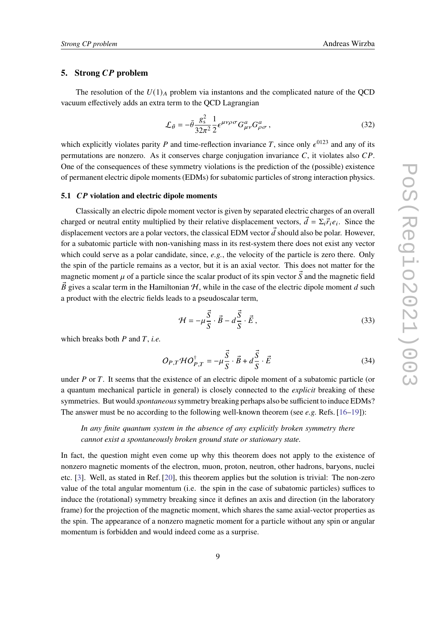# **5.** Strong CP problem

The resolution of the  $U(1)<sub>A</sub>$  problem via instantons and the complicated nature of the QCD vacuum effectively adds an extra term to the QCD Lagrangian

<span id="page-8-0"></span>
$$
\mathcal{L}_{\bar{\theta}} = -\bar{\theta} \frac{g_s^2}{32\pi^2} \frac{1}{2} \epsilon^{\mu\nu\rho\sigma} G^a_{\mu\nu} G^a_{\rho\sigma} , \qquad (32)
$$

which explicitly violates parity P and time-reflection invariance T, since only  $\epsilon^{0123}$  and any of its permutations are nonzero. As it conserves charge conjugation invariance  $C$ , it violates also  $CP$ . One of the consequences of these symmetry violations is the prediction of the (possible) existence of permanent electric dipole moments (EDMs) for subatomic particles of strong interaction physics.

#### **5.1** *CP* violation and electric dipole moments

Classically an electric dipole moment vector is given by separated electric charges of an overall charged or neutral entity multiplied by their relative displacement vectors,  $\vec{d} = \sum_i \vec{r}_i e_i$ . Since the displacement vectors are a polar vectors, the classical EDM vector  $\vec{d}$  should also be polar. However, for a subatomic particle with non-vanishing mass in its rest-system there does not exist any vector which could serve as a polar candidate, since, *e.g.*, the velocity of the particle is zero there. Only the spin of the particle remains as a vector, but it is an axial vector. This does not matter for the magnetic moment  $\mu$  of a particle since the scalar product of its spin vector  $\vec{S}$  and the magnetic field  $\vec{B}$  gives a scalar term in the Hamiltonian  $H$ , while in the case of the electric dipole moment d such a product with the electric fields leads to a pseudoscalar term,

$$
\mathcal{H} = -\mu \frac{\vec{S}}{S} \cdot \vec{B} - d \frac{\vec{S}}{S} \cdot \vec{E},
$$
\n(33)

which breaks both  $P$  and  $T$ , *i.e.* 

$$
O_{P,T} \mathcal{H} O_{P,T}^{\dagger} = -\mu \frac{\vec{S}}{S} \cdot \vec{B} + d \frac{\vec{S}}{S} \cdot \vec{E}
$$
 (34)

under  $P$  or  $T$ . It seems that the existence of an electric dipole moment of a subatomic particle (or a quantum mechanical particle in general) is closely connected to the *explicit* breaking of these symmetries. But would *spontaneous*symmetry breaking perhaps also be sufficient to induce EDMs? The answer must be no according to the following well-known theorem (see *e.g.* Refs. [\[16–](#page-21-8)[19\]](#page-21-9)):

*In any finite quantum system in the absence of any explicitly broken symmetry there cannot exist a spontaneously broken ground state or stationary state.*

In fact, the question might even come up why this theorem does not apply to the existence of nonzero magnetic moments of the electron, muon, proton, neutron, other hadrons, baryons, nuclei etc. [\[3\]](#page-20-1). Well, as stated in Ref. [\[20\]](#page-21-10), this theorem applies but the solution is trivial: The non-zero value of the total angular momentum (i.e. the spin in the case of subatomic particles) suffices to induce the (rotational) symmetry breaking since it defines an axis and direction (in the laboratory frame) for the projection of the magnetic moment, which shares the same axial-vector properties as the spin. The appearance of a nonzero magnetic moment for a particle without any spin or angular momentum is forbidden and would indeed come as a surprise.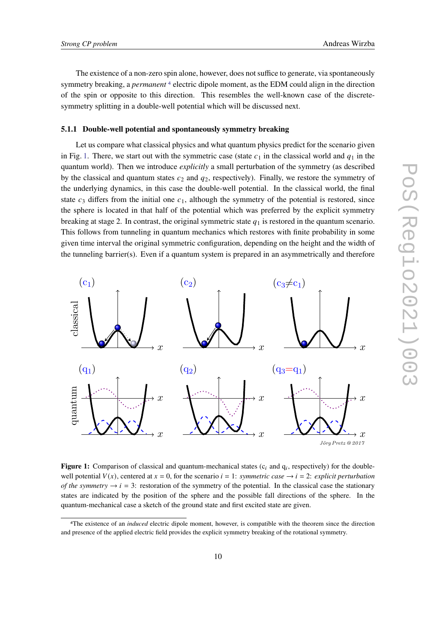The existence of a non-zero spin alone, however, does not suffice to generate, via spontaneously symmetry breaking, a *permanent* [4](#page-9-0) electric dipole moment, as the EDM could align in the direction of the spin or opposite to this direction. This resembles the well-known case of the discretesymmetry splitting in a double-well potential which will be discussed next.

#### **5.1.1 Double-well potential and spontaneously symmetry breaking**

Let us compare what classical physics and what quantum physics predict for the scenario given in Fig. [1.](#page-9-1) There, we start out with the symmetric case (state  $c_1$  in the classical world and  $q_1$  in the quantum world). Then we introduce *explicitly* a small perturbation of the symmetry (as described by the classical and quantum states  $c_2$  and  $q_2$ , respectively). Finally, we restore the symmetry of the underlying dynamics, in this case the double-well potential. In the classical world, the final state  $c_3$  differs from the initial one  $c_1$ , although the symmetry of the potential is restored, since the sphere is located in that half of the potential which was preferred by the explicit symmetry breaking at stage 2. In contrast, the original symmetric state  $q_1$  is restored in the quantum scenario. This follows from tunneling in quantum mechanics which restores with finite probability in some given time interval the original symmetric configuration, depending on the height and the width of the tunneling barrier(s). Even if a quantum system is prepared in an asymmetrically and therefore

<span id="page-9-1"></span>

Figure 1: Comparison of classical and quantum-mechanical states  $(c_i$  and  $q_i$ , respectively) for the doublewell potential  $V(x)$ , centered at  $x = 0$ , for the scenario  $i = 1$ : *symmetric case*  $\rightarrow i = 2$ : *explicit perturbation of the symmetry*  $\rightarrow i = 3$ : restoration of the symmetry of the potential. In the classical case the stationary states are indicated by the position of the sphere and the possible fall directions of the sphere. In the quantum-mechanical case a sketch of the ground state and first excited state are given.

<span id="page-9-0"></span><sup>4</sup>The existence of an *induced* electric dipole moment, however, is compatible with the theorem since the direction and presence of the applied electric field provides the explicit symmetry breaking of the rotational symmetry.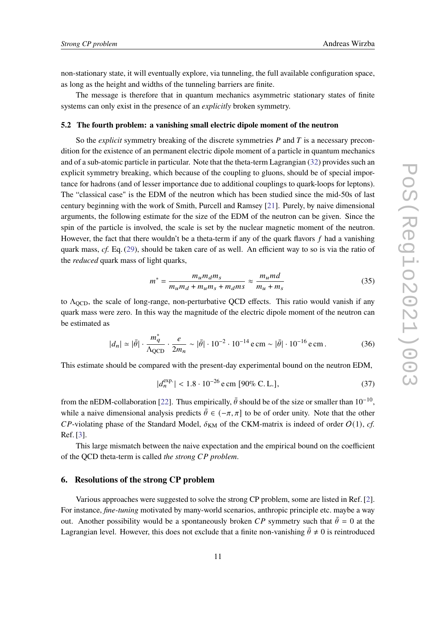non-stationary state, it will eventually explore, via tunneling, the full available configuration space, as long as the height and widths of the tunneling barriers are finite.

The message is therefore that in quantum mechanics asymmetric stationary states of finite systems can only exist in the presence of an *explicitly* broken symmetry.

#### <span id="page-10-0"></span>**5.2 The fourth problem: a vanishing small electric dipole moment of the neutron**

So the *explicit* symmetry breaking of the discrete symmetries  $P$  and  $T$  is a necessary precondition for the existence of an permanent electric dipole moment of a particle in quantum mechanics and of a sub-atomic particle in particular. Note that the theta-term Lagrangian [\(32\)](#page-8-0) provides such an explicit symmetry breaking, which because of the coupling to gluons, should be of special importance for hadrons (and of lesser importance due to additional couplings to quark-loops for leptons). The "classical case" is the EDM of the neutron which has been studied since the mid-50s of last century beginning with the work of Smith, Purcell and Ramsey [\[21\]](#page-21-11). Purely, by naive dimensional arguments, the following estimate for the size of the EDM of the neutron can be given. Since the spin of the particle is involved, the scale is set by the nuclear magnetic moment of the neutron. However, the fact that there wouldn't be a theta-term if any of the quark flavors  $f$  had a vanishing quark mass, *cf.* Eq. [\(29\)](#page-7-1), should be taken care of as well. An efficient way to so is via the ratio of the *reduced* quark mass of light quarks,

$$
m^* = \frac{m_u m_d m_s}{m_u m_d + m_u m_s + m_d m_s} \approx \frac{m_u m_d}{m_u + m_s} \tag{35}
$$

to  $\Lambda_{\text{QCD}}$ , the scale of long-range, non-perturbative QCD effects. This ratio would vanish if any quark mass were zero. In this way the magnitude of the electric dipole moment of the neutron can be estimated as

<span id="page-10-2"></span>
$$
|d_n| \simeq |\bar{\theta}| \cdot \frac{m_q^*}{\Lambda_{\text{QCD}}} \cdot \frac{e}{2m_n} \sim |\bar{\theta}| \cdot 10^{-2} \cdot 10^{-14} \text{ e cm} \sim |\bar{\theta}| \cdot 10^{-16} \text{ e cm} \,. \tag{36}
$$

This estimate should be compared with the present-day experimental bound on the neutron EDM,

<span id="page-10-1"></span>
$$
|d_n^{\exp}| < 1.8 \cdot 10^{-26} \,\text{e cm} \, [90\% \, \text{C. L.}], \tag{37}
$$

from the nEDM-collaboration [\[22\]](#page-21-12). Thus empirically,  $\bar{\theta}$  should be of the size or smaller than 10<sup>-10</sup>. while a naive dimensional analysis predicts  $\bar{\theta} \in (-\pi, \pi]$  to be of order unity. Note that the other  $CP$ -violating phase of the Standard Model,  $\delta_{KM}$  of the CKM-matrix is indeed of order  $O(1)$ , *cf.* Ref. [\[3\]](#page-20-1).

This large mismatch between the naive expectation and the empirical bound on the coefficient of the OCD theta-term is called *the strong* CP problem.

#### **6. Resolutions of the strong CP problem**

Various approaches were suggested to solve the strong CP problem, some are listed in Ref. [\[2\]](#page-20-6). For instance, *fine-tuning* motivated by many-world scenarios, anthropic principle etc. maybe a way out. Another possibility would be a spontaneously broken CP symmetry such that  $\bar{\theta} = 0$  at the Lagrangian level. However, this does not exclude that a finite non-vanishing  $\bar{\theta} \neq 0$  is reintroduced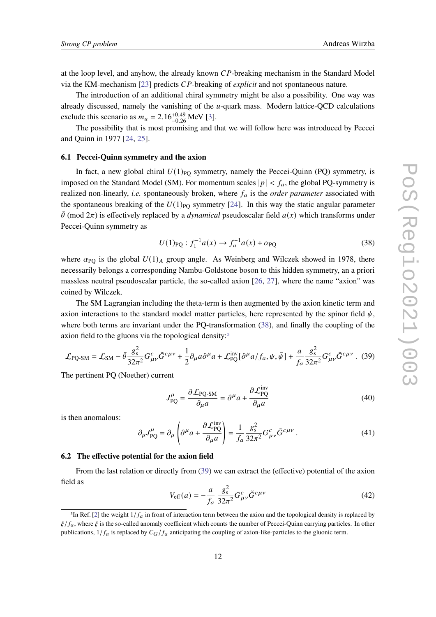at the loop level, and anyhow, the already known  $\mathbb{CP}$ -breaking mechanism in the Standard Model via the KM-mechanism [\[23\]](#page-21-13) predicts *CP*-breaking of *explicit* and not spontaneous nature.

The introduction of an additional chiral symmetry might be also a possibility. One way was already discussed, namely the vanishing of the  $u$ -quark mass. Modern lattice-QCD calculations exclude this scenario as  $m_u = 2.16^{+0.49}_{-0.26}$  MeV [\[3\]](#page-20-1).

The possibility that is most promising and that we will follow here was introduced by Peccei and Quinn in 1977 [\[24,](#page-21-14) [25\]](#page-21-15).

#### <span id="page-11-0"></span>**6.1 Peccei-Quinn symmetry and the axion**

In fact, a new global chiral  $U(1)_{PQ}$  symmetry, namely the Peccei-Quinn (PQ) symmetry, is imposed on the Standard Model (SM). For momentum scales  $|p| < f_a$ , the global PQ-symmetry is realized non-linearly, *i.e.* spontaneously broken, where  $f_a$  is the *order parameter* associated with the spontaneous breaking of the  $U(1)_{\text{PO}}$  symmetry [\[24\]](#page-21-14). In this way the static angular parameter  $\bar{\theta}$  (mod  $2\pi$ ) is effectively replaced by a *dynamical* pseudoscalar field  $a(x)$  which transforms under Peccei-Quinn symmetry as

<span id="page-11-1"></span>
$$
U(1)_{\text{PQ}} : f_1^{-1} a(x) \to f_a^{-1} a(x) + \alpha_{\text{PQ}} \tag{38}
$$

where  $\alpha_{\rm PO}$  is the global  $U(1)$ <sub>A</sub> group angle. As Weinberg and Wilczek showed in 1978, there necessarily belongs a corresponding Nambu-Goldstone boson to this hidden symmetry, an a priori massless neutral pseudoscalar particle, the so-called axion [\[26,](#page-22-0) [27\]](#page-22-1), where the name "axion" was coined by Wilczek.

The SM Lagrangian including the theta-term is then augmented by the axion kinetic term and axion interactions to the standard model matter particles, here represented by the spinor field  $\psi$ , where both terms are invariant under the PQ-transformation [\(38\)](#page-11-1), and finally the coupling of the axion field to the gluons via the topological density:<sup>[5](#page-11-2)</sup>

<span id="page-11-3"></span>
$$
\mathcal{L}_{\text{PQ-SM}} = \mathcal{L}_{\text{SM}} - \bar{\theta} \frac{g_s^2}{32\pi^2} G_{\mu\nu}^c \tilde{G}^{c\mu\nu} + \frac{1}{2} \partial_\mu a \partial^\mu a + \mathcal{L}_{\text{PQ}}^{\text{inv}} [\partial^\mu a / f_a, \psi, \bar{\psi}] + \frac{a}{f_a} \frac{g_s^2}{32\pi^2} G_{\mu\nu}^c \tilde{G}^{c\mu\nu}.
$$
 (39)

The pertinent PQ (Noether) current

$$
J_{\text{PQ}}^{\mu} = \frac{\partial \mathcal{L}_{\text{PQ-SM}}}{\partial_{\mu} a} = \partial^{\mu} a + \frac{\partial \mathcal{L}_{\text{PQ}}^{\text{inv}}}{\partial_{\mu} a}
$$
(40)

is then anomalous:

$$
\partial_{\mu}J_{\text{PQ}}^{\mu} = \partial_{\mu}\left(\partial^{\mu}a + \frac{\partial \mathcal{L}_{\text{PQ}}^{\text{inv}}}{\partial_{\mu}a}\right) = \frac{1}{f_{a}}\frac{g_{\text{s}}^{2}}{32\pi^{2}}G_{\mu\nu}^{c}\tilde{G}^{c\mu\nu}.
$$
 (41)

#### **6.2 The effective potential for the axion field**

From the last relation or directly from [\(39\)](#page-11-3) we can extract the (effective) potential of the axion field as

$$
V_{\text{eff}}(a) = -\frac{a}{f_a} \frac{g_s^2}{32\pi^2} G_{\mu\nu}^c \tilde{G}^{c\mu\nu}
$$
 (42)

<span id="page-11-2"></span><sup>&</sup>lt;sup>5</sup>In Ref. [\[2\]](#page-20-6) the weight  $1/f_a$  in front of interaction term between the axion and the topological density is replaced by  $\xi/f_a$ , where  $\xi$  is the so-called anomaly coefficient which counts the number of Peccei-Quinn carrying particles. In other publications,  $1/f_a$  is replaced by  $C_G/f_a$  anticipating the coupling of axion-like-particles to the gluonic term.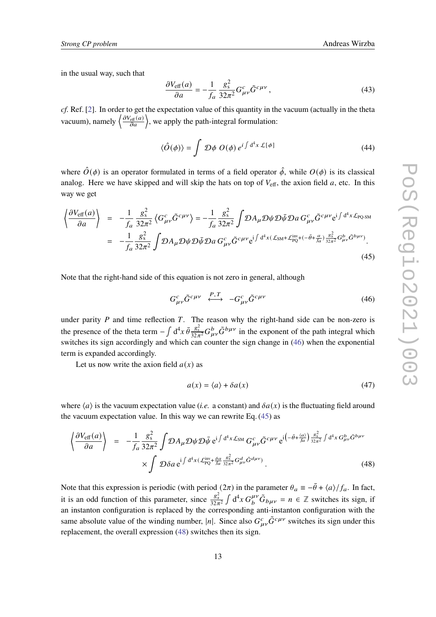in the usual way, such that

$$
\frac{\partial V_{\text{eff}}(a)}{\partial a} = -\frac{1}{f_a} \frac{g_s^2}{32\pi^2} G^c_{\mu\nu} \tilde{G}^{c\mu\nu},\qquad(43)
$$

*cf.* Ref. [\[2\]](#page-20-6). In order to get the expectation value of this quantity in the vacuum (actually in the theta vacuum), namely  $\left\langle \frac{\partial V_{\text{eff}}(a)}{\partial a} \right\rangle$ , we apply the path-integral formulation:

$$
\langle \hat{O}(\phi) \rangle = \int \mathcal{D}\phi \ O(\phi) e^{i \int d^4 x \ \mathcal{L}[\phi]} \tag{44}
$$

where  $\hat{O}(\phi)$  is an operator formulated in terms of a field operator  $\hat{\phi}$ , while  $O(\phi)$  is its classical analog. Here we have skipped and will skip the hats on top of  $V_{\text{eff}}$ , the axion field a, etc. In this way we get

<span id="page-12-1"></span>
$$
\left\langle \frac{\partial V_{\text{eff}}(a)}{\partial a} \right\rangle = -\frac{1}{f_a} \frac{g_s^2}{32\pi^2} \left\langle G_{\mu\nu}^c \tilde{G}^{c\mu\nu} \right\rangle = -\frac{1}{f_a} \frac{g_s^2}{32\pi^2} \int \mathcal{D}A_{\mu} \mathcal{D}\psi \mathcal{D}\bar{\psi} \mathcal{D}a \, G_{\mu\nu}^c \tilde{G}^{c\mu\nu} e^{i \int d^4 x \mathcal{L}_{\text{PO-SM}}} \n= -\frac{1}{f_a} \frac{g_s^2}{32\pi^2} \int \mathcal{D}A_{\mu} \mathcal{D}\psi \mathcal{D}\bar{\psi} \mathcal{D}a \, G_{\mu\nu}^c \tilde{G}^{c\mu\nu} e^{i \int d^4 x (\mathcal{L}_{\text{SM}} + \mathcal{L}_{\text{PQ}}^{\text{inv}} + (-\bar{\theta} + \frac{a}{f_a}) \frac{g_s^2}{32\pi^2} G_{\mu\nu}^b \tilde{G}^{b\mu\nu})}.
$$
\n(45)

Note that the right-hand side of this equation is not zero in general, although

<span id="page-12-0"></span>
$$
G_{\mu\nu}^c \tilde{G}^{c\mu\nu} \stackrel{P,T}{\longleftrightarrow} -G_{\mu\nu}^c \tilde{G}^{c\mu\nu} \tag{46}
$$

under parity  $P$  and time reflection  $T$ . The reason why the right-hand side can be non-zero is the presence of the theta term  $-\int d^4x \, \bar{\theta} \frac{g_s^2}{32\pi^2} G_{\mu\nu}^b \tilde{G}^{b\mu\nu}$  in the exponent of the path integral which switches its sign accordingly and which can counter the sign change in [\(46\)](#page-12-0) when the exponential term is expanded accordingly.

Let us now write the axion field  $a(x)$  as

$$
a(x) = \langle a \rangle + \delta a(x) \tag{47}
$$

where  $\langle a \rangle$  is the vacuum expectation value (*i.e.* a constant) and  $\delta a(x)$  is the fluctuating field around the vacuum expectation value. In this way we can rewrite Eq. [\(45\)](#page-12-1) as

<span id="page-12-2"></span>
$$
\left\langle \frac{\partial V_{\text{eff}}(a)}{\partial a} \right\rangle = -\frac{1}{f_a} \frac{g_s^2}{32\pi^2} \int \mathcal{D}A_\mu \mathcal{D}\psi \mathcal{D}\bar{\psi} \, \mathrm{e}^{\mathrm{i} \int d^4 x \mathcal{L}_{\text{SM}}} G^c_{\mu\nu} \tilde{G}^{c\mu\nu} \, \mathrm{e}^{\mathrm{i} \left(-\bar{\theta} + \frac{\langle a \rangle}{f_a}\right)} \frac{g_s^2}{32\pi^2} \int d^4 x \, G^b_{\mu\nu} \tilde{G}^{b\mu\nu} \times \int \mathcal{D}\delta a \, \mathrm{e}^{\mathrm{i} \int d^4 x \left(\mathcal{L}_{\text{PQ}}^{\text{inv}} + \frac{\delta a}{f_a} \frac{g_s^2}{32\pi^2} G^d_{\mu\nu} \tilde{G}^{d\mu\nu}\right)}.
$$
\n(48)

Note that this expression is periodic (with period  $(2\pi)$  in the parameter  $\theta_a \equiv -\bar{\theta} + \langle a \rangle / f_a$ . In fact, it is an odd function of this parameter, since  $\frac{g_s^2}{32\pi^2} \int d^4x G_b^{\mu\nu} \tilde{G}_{b\mu\nu} = n \in \mathbb{Z}$  switches its sign, if an instanton configuration is replaced by the corresponding anti-instanton configuration with the same absolute value of the winding number, |n|. Since also  $G_{\mu\nu}^c \tilde{G}^{c\mu\nu}$  switches its sign under this replacement, the overall expression [\(48\)](#page-12-2) switches then its sign.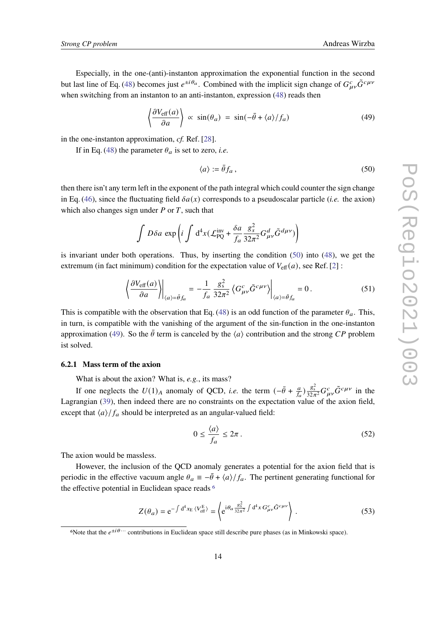Especially, in the one-(anti)-instanton approximation the exponential function in the second but last line of Eq. [\(48\)](#page-12-2) becomes just  $e^{\pm i \theta_a}$ . Combined with the implicit sign change of  $G^c_{\mu\nu} \tilde{G}^{c\mu\nu}$ when switching from an instanton to an anti-instanton, expression [\(48\)](#page-12-2) reads then

<span id="page-13-1"></span>
$$
\left\langle \frac{\partial V_{\text{eff}}(a)}{\partial a} \right\rangle \propto \sin(\theta_a) = \sin(-\bar{\theta} + \langle a \rangle / f_a) \tag{49}
$$

in the one-instanton approximation, *cf.* Ref. [\[28\]](#page-22-2).

If in Eq. [\(48\)](#page-12-2) the parameter  $\theta_a$  is set to zero, *i.e.* 

<span id="page-13-0"></span>
$$
\langle a \rangle := \bar{\theta} f_a \,, \tag{50}
$$

then there isn't any term left in the exponent of the path integral which could counter the sign change in Eq. [\(46\)](#page-12-0), since the fluctuating field  $\delta a(x)$  corresponds to a pseudoscalar particle (*i.e.* the axion) which also changes sign under  $P$  or  $T$ , such that

$$
\int D\delta a \, \exp\left(i \int d^4x \left(\mathcal{L}_{PQ}^{\text{inv}} + \frac{\delta a}{f_a} \frac{g_s^2}{32\pi^2} G_{\mu\nu}^d \tilde{G}^{d\mu\nu}\right)\right)
$$

is invariant under both operations. Thus, by inserting the condition [\(50\)](#page-13-0) into [\(48\)](#page-12-2), we get the extremum (in fact minimum) condition for the expectation value of  $V_{\text{eff}}(a)$ , see Ref. [\[2\]](#page-20-6) :

$$
\left. \left\langle \frac{\partial V_{\text{eff}}(a)}{\partial a} \right\rangle \right|_{\langle a \rangle = \bar{\theta} f_a} = -\frac{1}{f_a} \frac{g_s^2}{32\pi^2} \left\langle G_{\mu\nu}^c \tilde{G}^{c\mu\nu} \right\rangle \right|_{\langle a \rangle = \bar{\theta} f_a} = 0. \tag{51}
$$

This is compatible with the observation that Eq. [\(48\)](#page-12-2) is an odd function of the parameter  $\theta_a$ . This, in turn, is compatible with the vanishing of the argument of the sin-function in the one-instanton approximation [\(49\)](#page-13-1). So the  $\bar{\theta}$  term is canceled by the  $\langle a \rangle$  contribution and the strong CP problem ist solved.

#### **6.2.1 Mass term of the axion**

What is about the axion? What is, *e.g.*, its mass?

If one neglects the  $U(1)_A$  anomaly of QCD, *i.e.* the term  $\left(-\bar{\theta} + \frac{a}{f}\right)$  $\frac{a}{f_a}$ )  $\frac{g_s^2}{32\pi^2} G_{\mu\nu}^c \tilde{G}^{c\mu\nu}$  in the Lagrangian [\(39\)](#page-11-3), then indeed there are no constraints on the expectation value of the axion field, except that  $\langle a \rangle / f_a$  should be interpreted as an angular-valued field:

$$
0 \le \frac{\langle a \rangle}{f_a} \le 2\pi \,. \tag{52}
$$

The axion would be massless.

However, the inclusion of the QCD anomaly generates a potential for the axion field that is periodic in the effective vacuum angle  $\theta_a \equiv -\bar{\theta} + \langle a \rangle/f_a$ . The pertinent generating functional for the effective potential in Euclidean space reads [6](#page-13-2)

<span id="page-13-3"></span>
$$
Z(\theta_a) = e^{-\int d^4 x_E \langle V_{\text{eff}}^E \rangle} = \left\langle e^{i\theta_a \frac{g_x^2}{32\pi^2} \int d^4 x \, G_{\mu\nu}^c \tilde{G}^{c\mu\nu}} \right\rangle. \tag{53}
$$

<span id="page-13-2"></span>We that the  $e^{\pm i \theta \cdots}$  contributions in Euclidean space still describe pure phases (as in Minkowski space).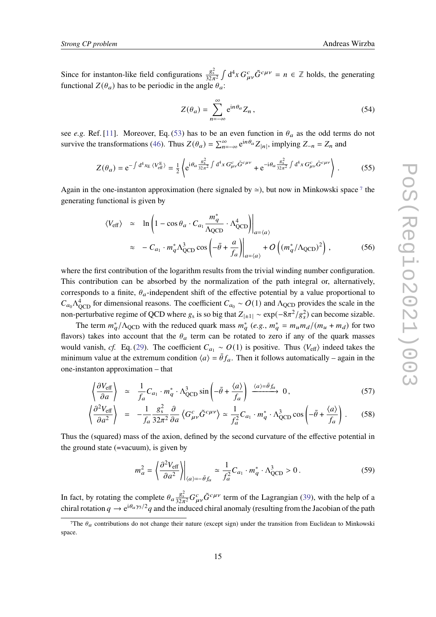Since for instanton-like field configurations  $\frac{g_s^2}{32\pi^2} \int d^4x G^c_{\mu\nu} \tilde{G}^{c\mu\nu} = n \in \mathbb{Z}$  holds, the generating functional  $Z(\theta_a)$  has to be periodic in the angle  $\theta_a$ :

$$
Z(\theta_a) = \sum_{n=-\infty}^{\infty} e^{in\theta_a} Z_n,
$$
\n(54)

see *e.g.* Ref. [\[11\]](#page-21-3). Moreover, Eq. [\(53\)](#page-13-3) has to be an even function in  $\theta_a$  as the odd terms do not survive the transformations [\(46\)](#page-12-0). Thus  $Z(\theta_a) = \sum_{n=-\infty}^{\infty} e^{in\theta_a} Z_{|n|}$ , implying  $Z_{-n} = Z_n$  and

$$
Z(\theta_a) = e^{-\int d^4 x_E \langle V_{\text{eff}}^E \rangle} = \frac{1}{2} \left\langle e^{i\theta_a \frac{g_s^2}{32\pi^2} \int d^4 x \, G_{\mu\nu}^c \tilde{G}^{c\mu\nu}} + e^{-i\theta_a \frac{g_s^2}{32\pi^2} \int d^4 x \, G_{\mu\nu}^c \tilde{G}^{c\mu\nu}} \right\rangle. \tag{55}
$$

Again in the one-instanton approximation (here signaled by  $\simeq$ ), but now in Minkowski space<sup>[7](#page-14-0)</sup> the generating functional is given by

$$
\langle V_{\text{eff}} \rangle \simeq \ln \left( 1 - \cos \theta_a \cdot C_{a_1} \frac{m_q^*}{\Lambda_{\text{QCD}}} \cdot \Lambda_{\text{QCD}}^4 \right) \Big|_{a = \langle a \rangle}
$$
  
 
$$
\simeq -C_{a_1} \cdot m_q^* \Lambda_{\text{QCD}}^3 \cos \left( -\bar{\theta} + \frac{a}{f_a} \right) \Big|_{a = \langle a \rangle} + O \left( (m_q^* / \Lambda_{\text{QCD}})^2 \right), \tag{56}
$$

where the first contribution of the logarithm results from the trivial winding number configuration. This contribution can be absorbed by the normalization of the path integral or, alternatively, corresponds to a finite,  $\theta_a$ -independent shift of the effective potential by a value proportional to  $C_{a_0} \Lambda_{\text{QCD}}^4$  for dimensional reasons. The coefficient  $C_{a_0} \sim O(1)$  and  $\Lambda_{\text{QCD}}$  provides the scale in the non-perturbative regime of QCD where  $g_s$  is so big that  $Z_{\vert \pm 1\vert} \sim \exp(-8\pi^2/g_s^2)$  can become sizable.

The term  $m_a^* / \Lambda_{\text{QCD}}$  with the reduced quark mass  $m_a^*$  (e.g.,  $m_a^* = m_u m_d / (m_u + m_d)$  for two flavors) takes into account that the  $\theta_a$  term can be rotated to zero if any of the quark masses would vanish, *cf.* Eq. [\(29\)](#page-7-1). The coefficient  $C_{a_1} \sim O(1)$  is positive. Thus  $\langle V_{\text{eff}} \rangle$  indeed takes the minimum value at the extremum condition  $\langle a \rangle = \bar{\theta} f_a$ . Then it follows automatically – again in the one-instanton approximation – that

$$
\left\langle \frac{\partial V_{\text{eff}}}{\partial a} \right\rangle \simeq \frac{1}{f_a} C_{a_1} \cdot m_q^* \cdot \Lambda_{\text{QCD}}^3 \sin \left( -\bar{\theta} + \frac{\langle a \rangle}{f_a} \right) \xrightarrow{\langle a \rangle = \bar{\theta} f_a} 0, \tag{57}
$$

$$
\left\langle \frac{\partial^2 V_{\text{eff}}}{\partial a^2} \right\rangle = -\frac{1}{f_a} \frac{g_s^2}{32\pi^2} \frac{\partial}{\partial a} \left\langle G^c_{\mu\nu} \tilde{G}^{c\mu\nu} \right\rangle \simeq \frac{1}{f_a^2} C_{a_1} \cdot m_q^* \cdot \Lambda_{QCD}^3 \cos \left( -\bar{\theta} + \frac{\langle a \rangle}{f_a} \right) . \tag{58}
$$

Thus the (squared) mass of the axion, defined by the second curvature of the effective potential in the ground state (=vacuum), is given by

$$
m_a^2 = \left\langle \frac{\partial^2 V_{\text{eff}}}{\partial a^2} \right\rangle_{\langle a \rangle = -\bar{\theta}f_a} \simeq \frac{1}{f_a^2} C_{a_1} \cdot m_q^* \cdot \Lambda_{\text{QCD}}^3 > 0 \,. \tag{59}
$$

In fact, by rotating the complete  $\theta_a \frac{g_s^2}{32\pi^2} G_{\mu\nu}^c \tilde{G}^{c\mu\nu}$  term of the Lagrangian [\(39\)](#page-11-3), with the help of a chiral rotation  $q \to e^{i\theta_a \gamma_5/2}q$  and the induced chiral anomaly (resulting from the Jacobian of the path

<span id="page-14-0"></span><sup>&</sup>lt;sup>7</sup>The  $\theta_a$  contributions do not change their nature (except sign) under the transition from Euclidean to Minkowski space.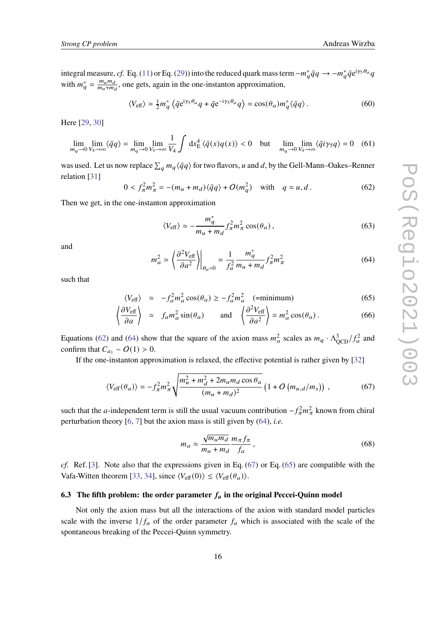integral measure, *cf*. Eq. [\(11\)](#page-4-2) or Eq. [\(29\)](#page-7-1)) into the reduced quark mass term  $-m_q^* \bar{q}q \to -m_q^* \bar{q}e^{i\gamma_5 \theta_a}q$ with  $m_q^* = \frac{m_u m_d}{m_u + m_q}$  $\frac{m_u m_d}{m_u + m_d}$ , one gets, again in the one-instanton approximation,

$$
\langle V_{\text{eff}} \rangle \simeq \frac{1}{2} m_q^* \left\langle \bar{q} e^{i\gamma_5 \theta_a} q + \bar{q} e^{-i\gamma_5 \theta_a} q \right\rangle = \cos(\theta_a) m_q^* \langle \bar{q} q \rangle. \tag{60}
$$

Here [\[29,](#page-22-3) [30\]](#page-22-4)

$$
\lim_{m_q \to 0} \lim_{V_4 \to \infty} \langle \bar{q}q \rangle = \lim_{m_q \to 0} \lim_{V_4 \to \infty} \frac{1}{V_4} \int dx_E^4 \langle \bar{q}(x)q(x) \rangle < 0 \quad \text{but} \quad \lim_{m_q \to 0} \lim_{V_4 \to \infty} \langle \bar{q}i\gamma_5 q \rangle = 0 \quad (61)
$$

was used. Let us now replace  $\sum_{q} m_q \langle \bar{q}q \rangle$  for two flavors, u and d, by the Gell-Mann–Oakes–Renner relation [\[31\]](#page-22-5)

<span id="page-15-1"></span>
$$
0 < f_{\pi}^2 m_{\pi}^2 = -(m_u + m_d) \langle \bar{q}q \rangle + O(m_q^2) \quad \text{with} \quad q = u, d \,. \tag{62}
$$

Then we get, in the one-instanton approximation

$$
\langle V_{\text{eff}} \rangle \simeq -\frac{m_q^*}{m_u + m_d} f_\pi^2 m_\pi^2 \cos(\theta_a) \,, \tag{63}
$$

and

<span id="page-15-2"></span>
$$
m_a^2 \simeq \left. \left\langle \frac{\partial^2 V_{\text{eff}}}{\partial a^2} \right\rangle \right|_{\theta_a = 0} = \frac{1}{f_a^2} \frac{m_q^*}{m_u + m_d} f_\pi^2 m_\pi^2 \tag{64}
$$

such that

<span id="page-15-4"></span>
$$
\langle V_{\text{eff}} \rangle \simeq -f_a^2 m_a^2 \cos(\theta_a) \ge -f_a^2 m_a^2 \quad \text{(=minimum)}
$$
 (65)

$$
\left\langle \frac{\partial V_{\text{eff}}}{\partial a} \right\rangle \simeq f_a m_a^2 \sin(\theta_a) \quad \text{and} \quad \left\langle \frac{\partial^2 V_{\text{eff}}}{\partial a^2} \right\rangle \simeq m_a^2 \cos(\theta_a). \tag{66}
$$

Equations [\(62\)](#page-15-1) and [\(64\)](#page-15-2) show that the square of the axion mass  $m_a^2$  scales as  $m_q \cdot \Lambda_{\text{QCD}}^3/f_a^2$  and confirm that  $C_{a_1} \sim O(1) > 0$ .

If the one-instanton approximation is relaxed, the effective potential is rather given by [\[32\]](#page-22-6)

<span id="page-15-3"></span>
$$
\langle V_{\text{eff}}(\theta_a) \rangle = -f_{\pi}^2 m_{\pi}^2 \sqrt{\frac{m_u^2 + m_d^2 + 2m_u m_d \cos \theta_a}{(m_u + m_d)^2}} \left(1 + O\left(m_{u,d}/m_s\right)\right) ,\qquad (67)
$$

such that the a-independent term is still the usual vacuum contribution  $-f_{\pi}^2 m_{\pi}^2$  known from chiral perturbation theory [\[6,](#page-20-4) [7\]](#page-20-5) but the axion mass is still given by [\(64\)](#page-15-2), *i.e.*

<span id="page-15-5"></span>
$$
m_a \approx \frac{\sqrt{m_u m_d}}{m_u + m_d} \frac{m_\pi f_\pi}{f_a} \,,\tag{68}
$$

*cf.* Ref. [\[3\]](#page-20-1). Note also that the expressions given in Eq. [\(67\)](#page-15-3) or Eq. [\(65\)](#page-15-4) are compatible with the Vafa-Witten theorem [\[33,](#page-22-7) [34\]](#page-22-8), since  $\langle V_{\text{eff}} (0) \rangle \leq \langle V_{\text{eff}} (\theta_a) \rangle$ .

#### <span id="page-15-0"></span>**6.3** The fifth problem: the order parameter  $f_a$  in the original Peccei-Quinn model

Not only the axion mass but all the interactions of the axion with standard model particles scale with the inverse  $1/f_a$  of the order parameter  $f_a$  which is associated with the scale of the spontaneous breaking of the Peccei-Quinn symmetry.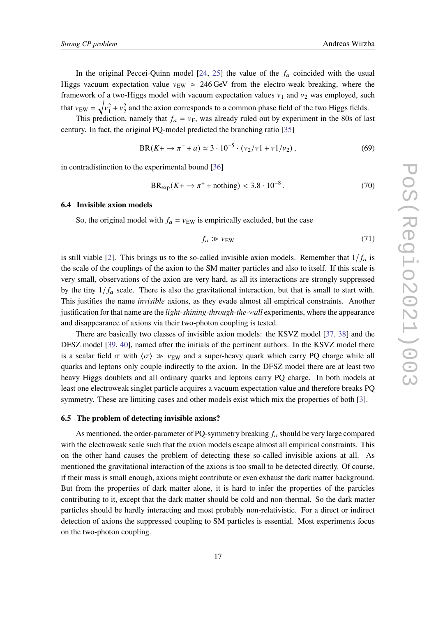In the original Peccei-Quinn model  $[24, 25]$  $[24, 25]$  $[24, 25]$  the value of the  $f_a$  coincided with the usual Higgs vacuum expectation value  $v_{EW} \approx 246 \text{ GeV}$  from the electro-weak breaking, where the framework of a two-Higgs model with vacuum expectation values  $v_1$  and  $v_2$  was employed, such that  $v_{\text{EW}} = \sqrt{v_1^2 + v_2^2}$  and the axion corresponds to a common phase field of the two Higgs fields.

This prediction, namely that  $f_a = v_F$ , was already ruled out by experiment in the 80s of last century. In fact, the original PQ-model predicted the branching ratio [\[35\]](#page-22-9)

$$
BR(K + \to \pi^+ + a) \simeq 3 \cdot 10^{-5} \cdot (\nu_2/\nu_1 + \nu_1/\nu_2), \tag{69}
$$

in contradistinction to the experimental bound [\[36\]](#page-22-10)

$$
BR_{\text{exp}}(K + \to \pi^+ + \text{nothing}) < 3.8 \cdot 10^{-8} \,. \tag{70}
$$

# <span id="page-16-0"></span>**6.4 Invisible axion models**

So, the original model with  $f_a = v_{EW}$  is empirically excluded, but the case

$$
f_a \gg v_{\rm EW} \tag{71}
$$

is still viable [\[2\]](#page-20-6). This brings us to the so-called invisible axion models. Remember that  $1/f_a$  is the scale of the couplings of the axion to the SM matter particles and also to itself. If this scale is very small, observations of the axion are very hard, as all its interactions are strongly suppressed by the tiny  $1/f_a$  scale. There is also the gravitational interaction, but that is small to start with. This justifies the name *invisible* axions, as they evade almost all empirical constraints. Another justification for that name are the *light-shining-through-the-wall* experiments, where the appearance and disappearance of axions via their two-photon coupling is tested.

There are basically two classes of invisible axion models: the KSVZ model [\[37,](#page-22-11) [38\]](#page-22-12) and the DFSZ model [\[39,](#page-22-13) [40\]](#page-22-14), named after the initials of the pertinent authors. In the KSVZ model there is a scalar field  $\sigma$  with  $\langle \sigma \rangle \gg v_{EW}$  and a super-heavy quark which carry PQ charge while all quarks and leptons only couple indirectly to the axion. In the DFSZ model there are at least two heavy Higgs doublets and all ordinary quarks and leptons carry PQ charge. In both models at least one electroweak singlet particle acquires a vacuum expectation value and therefore breaks PQ symmetry. These are limiting cases and other models exist which mix the properties of both [\[3\]](#page-20-1).

#### <span id="page-16-1"></span>**6.5 The problem of detecting invisible axions?**

As mentioned, the order-parameter of PQ-symmetry breaking  $f_a$  should be very large compared with the electroweak scale such that the axion models escape almost all empirical constraints. This on the other hand causes the problem of detecting these so-called invisible axions at all. As mentioned the gravitational interaction of the axions is too small to be detected directly. Of course, if their mass is small enough, axions might contribute or even exhaust the dark matter background. But from the properties of dark matter alone, it is hard to infer the properties of the particles contributing to it, except that the dark matter should be cold and non-thermal. So the dark matter particles should be hardly interacting and most probably non-relativistic. For a direct or indirect detection of axions the suppressed coupling to SM particles is essential. Most experiments focus on the two-photon coupling.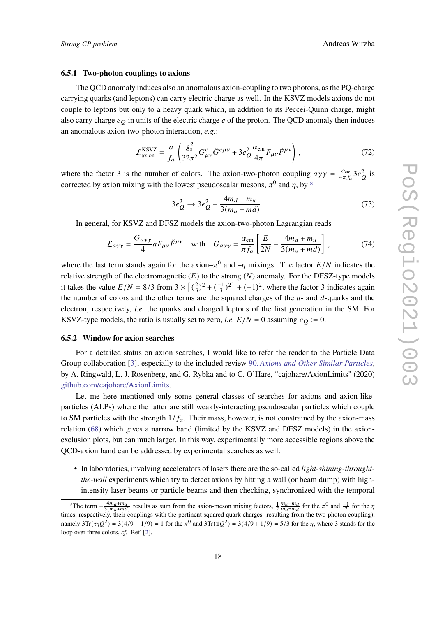#### **6.5.1 Two-photon couplings to axions**

The QCD anomaly induces also an anomalous axion-coupling to two photons, as the PQ-charge carrying quarks (and leptons) can carry electric charge as well. In the KSVZ models axions do not couple to leptons but only to a heavy quark which, in addition to its Peccei-Quinn charge, might also carry charge  $e_Q$  in units of the electric charge  $e$  of the proton. The QCD anomaly then induces an anomalous axion-two-photon interaction, *e.g.*:

$$
\mathcal{L}_{\text{axion}}^{\text{KSVZ}} = \frac{a}{f_a} \left( \frac{g_s^2}{32\pi^2} G_{\mu\nu}^c \tilde{G}^{c\mu\nu} + 3e_Q^2 \frac{\alpha_{\text{em}}}{4\pi} F_{\mu\nu} \tilde{F}^{\mu\nu} \right),\tag{72}
$$

where the factor 3 is the number of colors. The axion-two-photon coupling  $a\gamma\gamma = \frac{a_{\text{em}}}{4\pi f}$  $\frac{\alpha_{\text{em}}}{4\pi f_a}$ 3 $e_Q^2$  is corrected by axion mixing with the lowest pseudoscalar mesons,  $\pi^0$  and n, by <sup>[8](#page-17-1)</sup>

$$
3e_Q^2 \to 3e_Q^2 - \frac{4m_d + m_u}{3(m_u + md)}\,. \tag{73}
$$

In general, for KSVZ and DFSZ models the axion-two-photon Lagrangian reads

$$
\mathcal{L}_{a\gamma\gamma} = \frac{G_{a\gamma\gamma}}{4} aF_{\mu\nu}\tilde{F}^{\mu\nu} \quad \text{with} \quad G_{a\gamma\gamma} = \frac{\alpha_{\text{em}}}{\pi f_a} \left[ \frac{E}{2N} - \frac{4m_d + m_u}{3(m_u + md)} \right],\tag{74}
$$

where the last term stands again for the axion– $\pi^0$  and  $-\eta$  mixings. The factor  $E/N$  indicates the relative strength of the electromagnetic  $(E)$  to the strong  $(N)$  anomaly. For the DFSZ-type models it takes the value  $E/N = 8/3$  from  $3 \times \left[ \left( \frac{2}{3} \right)^2 \right]$  $\left(\frac{2}{3}\right)^2 + \left(-\frac{1}{3}\right)^2 + (-1)^2$ , where the factor 3 indicates again the number of colors and the other terms are the squared charges of the  $u$ - and  $d$ -quarks and the electron, respectively, *i.e.* the quarks and charged leptons of the first generation in the SM. For KSVZ-type models, the ratio is usually set to zero, *i.e.*  $E/N = 0$  assuming  $e_O := 0$ .

#### <span id="page-17-0"></span>**6.5.2 Window for axion searches**

For a detailed status on axion searches, I would like to refer the reader to the Particle Data Group collaboration [\[3\]](#page-20-1), especially to the included review 90. *[Axions and Other Similar Particles](https://pdg.lbl.gov/2021/reviews/rpp2021-rev-axions.pdf)*, by A. Ringwald, L. J. Rosenberg, and G. Rybka and to C. O'Hare, "cajohare/AxionLimits" (2020) [github.com/cajohare/AxionLimits.](https://github.com/cajohare/AxionLimits)

Let me here mentioned only some general classes of searches for axions and axion-likeparticles (ALPs) where the latter are still weakly-interacting pseudoscalar particles which couple to SM particles with the strength  $1/f_a$ . Their mass, however, is not constrained by the axion-mass relation [\(68\)](#page-15-5) which gives a narrow band (limited by the KSVZ and DFSZ models) in the axionexclusion plots, but can much larger. In this way, experimentally more accessible regions above the QCD-axion band can be addressed by experimental searches as well:

• In laboratories, involving accelerators of lasers there are the so-called *light-shining-throughtthe-wall* experiments which try to detect axions by hitting a wall (or beam dump) with highintensity laser beams or particle beams and then checking, synchronized with the temporal

<span id="page-17-1"></span><sup>&</sup>lt;sup>8</sup>The term  $-\frac{4m}{3(m)}$  $\frac{4m_d+m_u}{3(m_u+md)}$  results as sum from the axion-meson mixing factors,  $\frac{1}{2}\frac{m_u-m_d}{m_u+m_d}$  for the  $\pi^0$  and  $\frac{-1}{2}$  for the  $\eta$ times, respectively, their couplings with the pertinent squared quark charges (resulting from the two-photon coupling), namely  $3\text{Tr}(\tau_3 Q^2) = 3(4/9 - 1/9) = 1$  for the  $\pi^0$  and  $3\text{Tr}(\mathbb{1}Q^2) = 3(4/9 + 1/9) = 5/3$  for the  $\eta$ , where 3 stands for the loop over three colors, *cf.* Ref. [\[2\]](#page-20-6).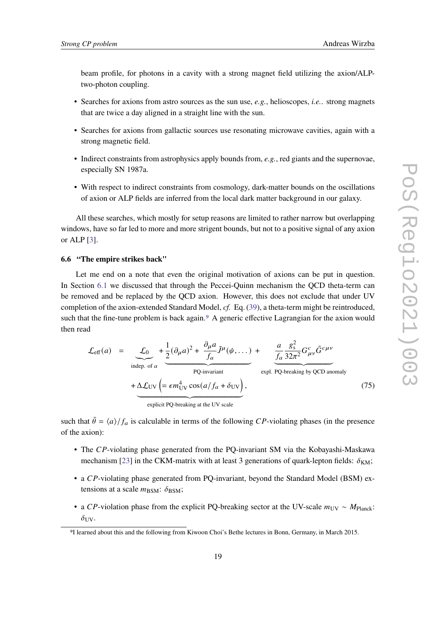beam profile, for photons in a cavity with a strong magnet field utilizing the axion/ALPtwo-photon coupling.

- Searches for axions from astro sources as the sun use, *e.g.*, helioscopes, *i.e.*. strong magnets that are twice a day aligned in a straight line with the sun.
- Searches for axions from gallactic sources use resonating microwave cavities, again with a strong magnetic field.
- Indirect constraints from astrophysics apply bounds from, *e.g.*, red giants and the supernovae, especially SN 1987a.
- With respect to indirect constraints from cosmology, dark-matter bounds on the oscillations of axion or ALP fields are inferred from the local dark matter background in our galaxy.

All these searches, which mostly for setup reasons are limited to rather narrow but overlapping windows, have so far led to more and more strigent bounds, but not to a positive signal of any axion or ALP [\[3\]](#page-20-1).

#### <span id="page-18-0"></span>**6.6 "The empire strikes back"**

Let me end on a note that even the original motivation of axions can be put in question. In Section [6.1](#page-11-0) we discussed that through the Peccei-Quinn mechanism the QCD theta-term can be removed and be replaced by the QCD axion. However, this does not exclude that under UV completion of the axion-extended Standard Model, *cf.* Eq. [\(39\)](#page-11-3), a theta-term might be reintroduced, such that the fine-tune problem is back again.<sup>[9](#page-18-1)</sup> A generic effective Lagrangian for the axion would then read

<span id="page-18-2"></span>
$$
\mathcal{L}_{\text{eff}}(a) = \underbrace{\mathcal{L}_0}{\text{indep. of } a} + \underbrace{\frac{1}{2}(\partial_\mu a)^2 + \frac{\partial_\mu a}{f_a} \tilde{J}^\mu(\psi, \dots)}_{PQ\text{-invariant}} + \Delta \mathcal{L}_{UV} \left( = \epsilon m_{UV}^4 \cos\left(\frac{a}{f_a} + \delta_{UV}\right), \right)
$$
\n
$$
+ \underbrace{\Delta \mathcal{L}_{UV}}_{\text{explicit PO-breaking at the UV scale}} \underbrace{\mathcal{L}_0 \frac{g_s^2}{32\pi^2} G_{\mu\nu}^c \tilde{G}^{c\mu\nu}}_{\text{explicit PO-breaking at the UV scale}}
$$
\n
$$
(75)
$$

such that  $\bar{\theta} = \langle a \rangle / f_a$  is calculable in terms of the following CP-violating phases (in the presence of the axion):

- The  $CP$ -violating phase generated from the PQ-invariant SM via the Kobayashi-Maskawa mechanism [\[23\]](#page-21-13) in the CKM-matrix with at least 3 generations of quark-lepton fields:  $\delta_{KM}$ ;
- a  $CP$ -violating phase generated from PQ-invariant, beyond the Standard Model (BSM) extensions at a scale  $m_{\text{BSM}}$ :  $\delta_{\text{BSM}}$ ;
- a CP-violation phase from the explicit PQ-breaking sector at the UV-scale  $m_{\text{UV}} \sim M_{\text{Planck}}$ :  $\delta_{\rm UV}$ .

<span id="page-18-1"></span><sup>9</sup>I learned about this and the following from Kiwoon Choi's Bethe lectures in Bonn, Germany, in March 2015.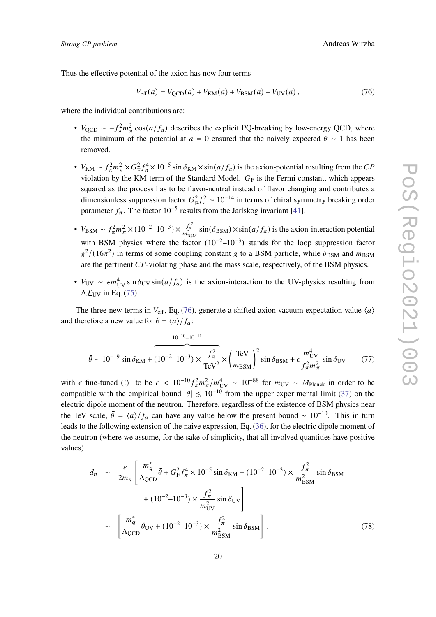Thus the effective potential of the axion has now four terms

<span id="page-19-0"></span>
$$
V_{\text{eff}}(a) = V_{\text{QCD}}(a) + V_{\text{KM}}(a) + V_{\text{BSM}}(a) + V_{\text{UV}}(a), \qquad (76)
$$

where the individual contributions are:

- $V_{\text{QCD}} \sim -f_{\pi}^2 m_{\pi}^2 \cos(a/f_a)$  describes the explicit PQ-breaking by low-energy QCD, where the minimum of the potential at  $a = 0$  ensured that the naively expected  $\bar{\theta} \sim 1$  has been removed.
- $V_{\text{KM}} \sim f_{\pi}^2 m_{\pi}^2 \times G_{\text{F}}^2 f_{\pi}^4 \times 10^{-5} \sin \delta_{\text{KM}} \times \sin(a/f_a)$  is the axion-potential resulting from the CP violation by the KM-term of the Standard Model.  $G_F$  is the Fermi constant, which appears squared as the process has to be flavor-neutral instead of flavor changing and contributes a dimensionless suppression factor  $G_F^2 f_\pi^2 \sim 10^{-14}$  in terms of chiral symmetry breaking order parameter  $f_{\pi}$ . The factor 10<sup>-5</sup> results from the Jarlskog invariant [\[41\]](#page-22-15).
- $V_{BSM} \sim f_{\pi}^2 m_{\pi}^2 \times (10^{-2} 10^{-3}) \times \frac{f_{\pi}^2}{m_{BSM}^2} \sin(\delta_{BSM}) \times \sin(a/f_a)$  is the axion-interaction potential with BSM physics where the factor  $(10^{-2}-10^{-3})$  stands for the loop suppression factor  $g^2/(16\pi^2)$  in terms of some coupling constant g to a BSM particle, while  $\delta_{\rm BSM}$  and  $m_{\rm BSM}$ are the pertinent  $CP$ -violating phase and the mass scale, respectively, of the BSM physics.
- $V_{UV} \sim \epsilon m_{UV}^4 \sin \delta_{UV} \sin(a/f_a)$  is the axion-interaction to the UV-physics resulting from  $\Delta \mathcal{L}_{\text{UV}}$  in Eq. [\(75\)](#page-18-2).

The three new terms in  $V_{\text{eff}}$ , Eq. [\(76\)](#page-19-0), generate a shifted axion vacuum expectation value  $\langle a \rangle$ and therefore a new value for  $\bar{\theta} = \frac{a}{f_a}$ :

$$
\bar{\theta} \sim 10^{-19} \sin \delta_{\text{KM}} + (10^{-2} - 10^{-3}) \times \frac{f_{\pi}^2}{\text{TeV}^2} \times \left(\frac{\text{TeV}}{m_{\text{BSM}}}\right)^2 \sin \delta_{\text{BSM}} + \epsilon \frac{m_{\text{UV}}^4}{f_{\pi}^2 m_{\pi}^2} \sin \delta_{\text{UV}} \tag{77}
$$

with  $\epsilon$  fine-tuned (!) to be  $\epsilon < 10^{-10} f_{\pi}^2 m_{\pi}^2 / m_{UV}^4 \sim 10^{-88}$  for  $m_{UV} \sim M_{Planck}$  in order to be compatible with the empirical bound  $|\bar{\theta}| \leq 10^{-10}$  from the upper experimental limit [\(37\)](#page-10-1) on the electric dipole moment of the neutron. Therefore, regardless of the existence of BSM physics near the TeV scale,  $\bar{\theta} = \frac{\langle a \rangle}{f_a}$  can have any value below the present bound ~ 10<sup>-10</sup>. This in turn leads to the following extension of the naive expression, Eq. [\(36\)](#page-10-2), for the electric dipole moment of the neutron (where we assume, for the sake of simplicity, that all involved quantities have positive values)

$$
d_n \sim \frac{e}{2m_n} \left[ \frac{m_q^*}{\Lambda_{\text{QCD}}} \bar{\theta} + G_F^2 f_\pi^4 \times 10^{-5} \sin \delta_{\text{KM}} + (10^{-2} - 10^{-3}) \times \frac{f_\pi^2}{m_{\text{BSM}}^2} \sin \delta_{\text{BSM}} + (10^{-2} - 10^{-3}) \times \frac{f_\pi^2}{m_{\text{UV}}^2} \sin \delta_{\text{UV}} \right] \sim \left[ \frac{m_q^*}{\Lambda_{\text{QCD}}} \bar{\theta}_{\text{UV}} + (10^{-2} - 10^{-3}) \times \frac{f_\pi^2}{m_{\text{BSM}}^2} \sin \delta_{\text{BSM}} \right].
$$
 (78)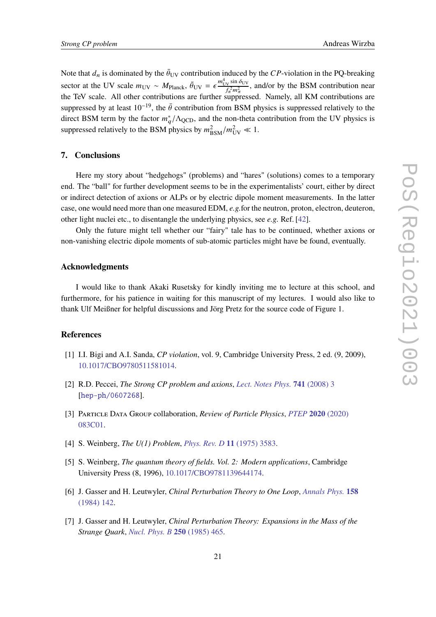Note that  $d_n$  is dominated by the  $\bar{\theta}_{UV}$  contribution induced by the CP-violation in the PQ-breaking sector at the UV scale  $m_{\text{UV}} \sim M_{\text{Planck}}$ ,  $\bar{\theta}_{\text{UV}} = \epsilon \frac{m_{\text{UV}}^4 \sin \delta_{\text{UV}}}{\epsilon^2 m^2}$  $\frac{v}{\sqrt{r_{\rm A}^2 m_{\rm A}^2}}$ , and/or by the BSM contribution near the TeV scale. All other contributions are further suppressed. Namely, all KM contributions are suppressed by at least  $10^{-19}$ , the  $\bar{\theta}$  contribution from BSM physics is suppressed relatively to the direct BSM term by the factor  $m_q^*/\Lambda_{\text{QCD}}$ , and the non-theta contribution from the UV physics is suppressed relatively to the BSM physics by  $m_{\text{BSM}}^2/m_{\text{UV}}^2 \ll 1$ .

#### **7. Conclusions**

Here my story about "hedgehogs" (problems) and "hares" (solutions) comes to a temporary end. The "ball" for further development seems to be in the experimentalists' court, either by direct or indirect detection of axions or ALPs or by electric dipole moment measurements. In the latter case, one would need more than one measured EDM, *e.g.*for the neutron, proton, electron, deuteron, other light nuclei etc., to disentangle the underlying physics, see *e.g.* Ref. [\[42\]](#page-22-16).

Only the future might tell whether our "fairy" tale has to be continued, whether axions or non-vanishing electric dipole moments of sub-atomic particles might have be found, eventually.

#### **Acknowledgments**

I would like to thank Akaki Rusetsky for kindly inviting me to lecture at this school, and furthermore, for his patience in waiting for this manuscript of my lectures. I would also like to thank Ulf Meißner for helpful discussions and Jörg Pretz for the source code of Figure 1.

# **References**

- <span id="page-20-0"></span>[1] I.I. Bigi and A.I. Sanda, *CP violation*, vol. 9, Cambridge University Press, 2 ed. (9, 2009), [10.1017/CBO9780511581014.](https://doi.org/10.1017/CBO9780511581014)
- <span id="page-20-6"></span>[2] R.D. Peccei, *The Strong CP problem and axions*, *[Lect. Notes Phys.](https://doi.org/10.1007/978-3-540-73518-2_1)* **741** (2008) 3 [[hep-ph/0607268](https://arxiv.org/abs/hep-ph/0607268)].
- <span id="page-20-1"></span>[3] Particle Data Group collaboration, *Review of Particle Physics*, *[PTEP](https://doi.org/10.1093/ptep/ptaa104)* **2020** (2020) [083C01.](https://doi.org/10.1093/ptep/ptaa104)
- <span id="page-20-2"></span>[4] S. Weinberg, *The U(1) Problem*, *[Phys. Rev. D](https://doi.org/10.1103/PhysRevD.11.3583)* **11** (1975) 3583.
- <span id="page-20-3"></span>[5] S. Weinberg, *The quantum theory of fields. Vol. 2: Modern applications*, Cambridge University Press (8, 1996), [10.1017/CBO9781139644174.](https://doi.org/10.1017/CBO9781139644174)
- <span id="page-20-4"></span>[6] J. Gasser and H. Leutwyler, *Chiral Perturbation Theory to One Loop*, *[Annals Phys.](https://doi.org/10.1016/0003-4916(84)90242-2)* **158** [\(1984\) 142.](https://doi.org/10.1016/0003-4916(84)90242-2)
- <span id="page-20-5"></span>[7] J. Gasser and H. Leutwyler, *Chiral Perturbation Theory: Expansions in the Mass of the Strange Quark*, *[Nucl. Phys. B](https://doi.org/10.1016/0550-3213(85)90492-4)* **250** (1985) 465.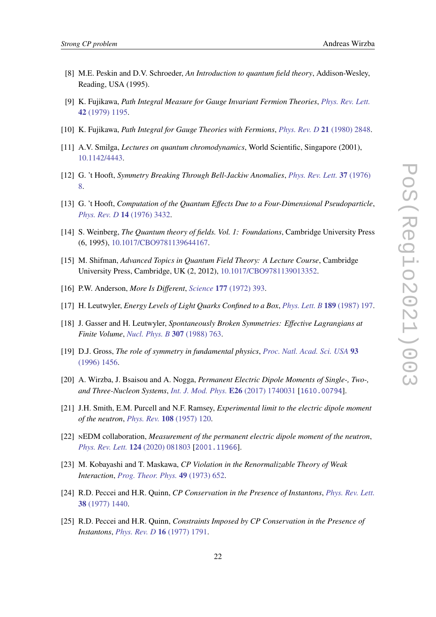- <span id="page-21-0"></span>[8] M.E. Peskin and D.V. Schroeder, *An Introduction to quantum field theory*, Addison-Wesley, Reading, USA (1995).
- <span id="page-21-1"></span>[9] K. Fujikawa, *Path Integral Measure for Gauge Invariant Fermion Theories*, *[Phys. Rev. Lett.](https://doi.org/10.1103/PhysRevLett.42.1195)* **42** [\(1979\) 1195.](https://doi.org/10.1103/PhysRevLett.42.1195)
- <span id="page-21-2"></span>[10] K. Fujikawa, *Path Integral for Gauge Theories with Fermions*, *[Phys. Rev. D](https://doi.org/10.1103/PhysRevD.21.2848)* **21** (1980) 2848.
- <span id="page-21-3"></span>[11] A.V. Smilga, *Lectures on quantum chromodynamics*, World Scientific, Singapore (2001), [10.1142/4443.](https://doi.org/10.1142/4443)
- <span id="page-21-4"></span>[12] G. 't Hooft, *Symmetry Breaking Through Bell-Jackiw Anomalies*, *[Phys. Rev. Lett.](https://doi.org/10.1103/PhysRevLett.37.8)* **37** (1976) [8.](https://doi.org/10.1103/PhysRevLett.37.8)
- <span id="page-21-5"></span>[13] G. 't Hooft, *Computation of the Quantum Effects Due to a Four-Dimensional Pseudoparticle*, *[Phys. Rev. D](https://doi.org/10.1103/PhysRevD.14.3432)* **14** (1976) 3432.
- <span id="page-21-6"></span>[14] S. Weinberg, *The Quantum theory of fields. Vol. 1: Foundations*, Cambridge University Press (6, 1995), [10.1017/CBO9781139644167.](https://doi.org/10.1017/CBO9781139644167)
- <span id="page-21-7"></span>[15] M. Shifman, *Advanced Topics in Quantum Field Theory: A Lecture Course*, Cambridge University Press, Cambridge, UK (2, 2012), [10.1017/CBO9781139013352.](https://doi.org/10.1017/CBO9781139013352)
- <span id="page-21-8"></span>[16] P.W. Anderson, *More Is Different*, *Science* **177** [\(1972\) 393.](https://doi.org/10.1126/science.177.4047.393)
- [17] H. Leutwyler, *Energy Levels of Light Quarks Confined to a Box*, *[Phys. Lett. B](https://doi.org/10.1016/0370-2693(87)91296-2)* **189** (1987) 197.
- [18] J. Gasser and H. Leutwyler, *Spontaneously Broken Symmetries: Effective Lagrangians at Finite Volume*, *[Nucl. Phys. B](https://doi.org/10.1016/0550-3213(88)90107-1)* **307** (1988) 763.
- <span id="page-21-9"></span>[19] D.J. Gross, *The role of symmetry in fundamental physics*, *[Proc. Natl. Acad. Sci. USA](https://doi.org/10.1073/pnas.93.25.14256)* **93** [\(1996\) 1456.](https://doi.org/10.1073/pnas.93.25.14256)
- <span id="page-21-10"></span>[20] A. Wirzba, J. Bsaisou and A. Nogga, *Permanent Electric Dipole Moments of Single-, Two-, and Three-Nucleon Systems*, *[Int. J. Mod. Phys.](https://doi.org/10.1142/S0218301317400316)* **E26** (2017) 1740031 [[1610.00794](https://arxiv.org/abs/1610.00794)].
- <span id="page-21-11"></span>[21] J.H. Smith, E.M. Purcell and N.F. Ramsey, *Experimental limit to the electric dipole moment of the neutron*, *[Phys. Rev.](https://doi.org/10.1103/PhysRev.108.120)* **108** (1957) 120.
- <span id="page-21-12"></span>[22] nEDM collaboration, *Measurement of the permanent electric dipole moment of the neutron*, *[Phys. Rev. Lett.](https://doi.org/10.1103/PhysRevLett.124.081803)* **124** (2020) 081803 [[2001.11966](https://arxiv.org/abs/2001.11966)].
- <span id="page-21-13"></span>[23] M. Kobayashi and T. Maskawa, *CP Violation in the Renormalizable Theory of Weak Interaction*, *[Prog. Theor. Phys.](https://doi.org/10.1143/PTP.49.652)* **49** (1973) 652.
- <span id="page-21-14"></span>[24] R.D. Peccei and H.R. Quinn, *CP Conservation in the Presence of Instantons*, *[Phys. Rev. Lett.](https://doi.org/10.1103/PhysRevLett.38.1440)* **38** [\(1977\) 1440.](https://doi.org/10.1103/PhysRevLett.38.1440)
- <span id="page-21-15"></span>[25] R.D. Peccei and H.R. Quinn, *Constraints Imposed by CP Conservation in the Presence of Instantons*, *[Phys. Rev. D](https://doi.org/10.1103/PhysRevD.16.1791)* **16** (1977) 1791.